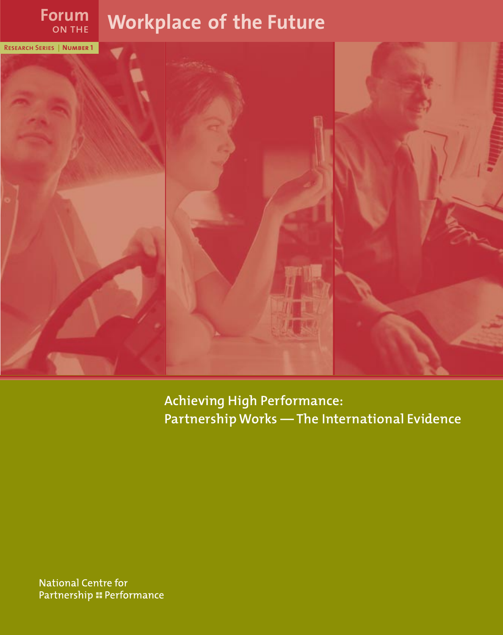# **Forum Workplace of the Future**

on the



**Achieving High Performance: Partnership Works — The International Evidence**

**National Centre for** Partnership :: Performance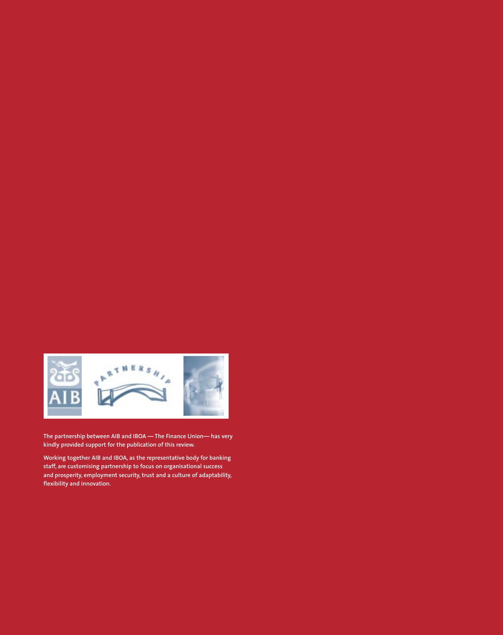

**The partnership between AIB and IBOA — The Finance Union— has very kindly provided support for the publication of this review.**

**Working together AIB and IBOA, as the representative body for banking staff, are customising partnership to focus on organisational success and prosperity, employment security, trust and a culture of adaptability, flexibility and innovation.**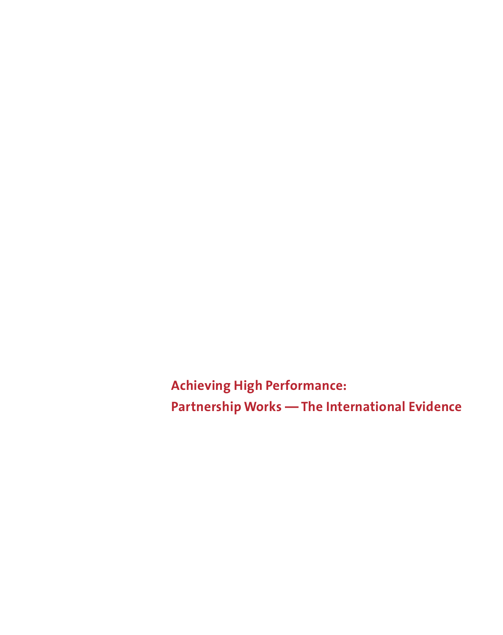**Achieving High Performance: Partnership Works — The International Evidence**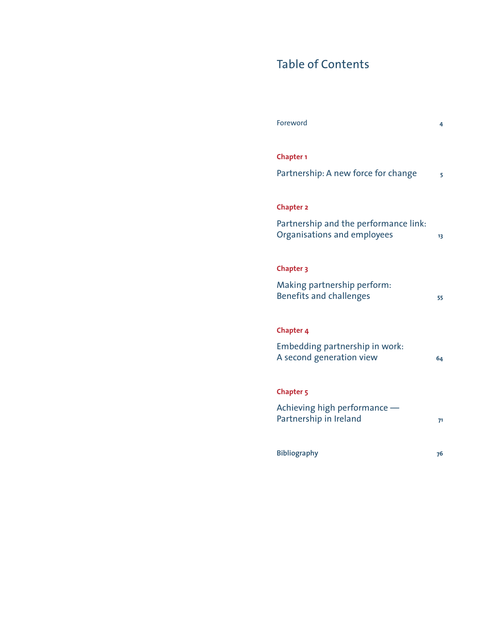# Table of Contents

| Foreword                                                             | 4  |
|----------------------------------------------------------------------|----|
| <b>Chapter 1</b>                                                     |    |
| Partnership: A new force for change                                  | 5  |
| <b>Chapter 2</b>                                                     |    |
| Partnership and the performance link:<br>Organisations and employees | 13 |
| Chapter 3                                                            |    |
| Making partnership perform:<br><b>Benefits and challenges</b>        | 55 |
| Chapter 4                                                            |    |
| Embedding partnership in work:<br>A second generation view           | 64 |
| Chapter <sub>5</sub>                                                 |    |
| Achieving high performance -<br>Partnership in Ireland               | 71 |
| <b>Bibliography</b>                                                  | 76 |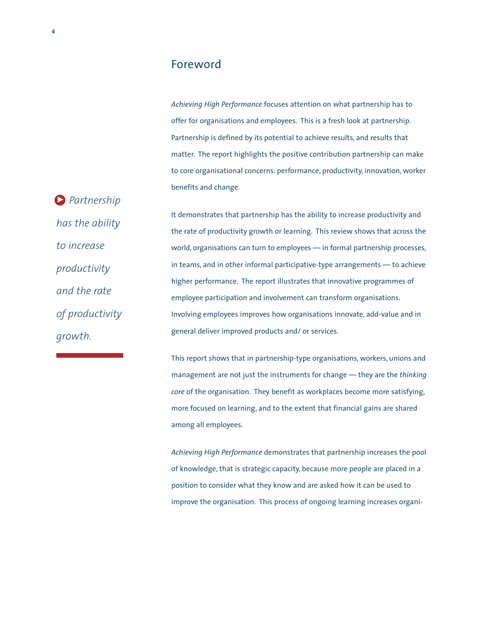### Foreword

*Achieving High Performance* focuses attention on what partnership has to offer for organisations and employees. This is a fresh look at partnership. Partnership is defined by its potential to achieve results, and results that matter. The report highlights the positive contribution partnership can make to core organisational concerns: performance, productivity, innovation, worker benefits and change.

*Partnership* 3*has the ability to increase productivity and the rate of productivity growth.*

It demonstrates that partnership has the ability to increase productivity and the rate of productivity growth or learning. This review shows that across the world, organisations can turn to employees — in formal partnership processes, in teams, and in other informal participative-type arrangements — to achieve higher performance. The report illustrates that innovative programmes of employee participation and involvement can transform organisations. Involving employees improves how organisations innovate, add-value and in general deliver improved products and/ or services.

This report shows that in partnership-type organisations, workers, unions and management are not just the instruments for change — they are the *thinking core* of the organisation. They benefit as workplaces become more satisfying, more focused on learning, and to the extent that financial gains are shared among all employees.

*Achieving High Performance* demonstrates that partnership increases the pool of knowledge, that is strategic capacity, because more people are placed in a position to consider what they know and are asked how it can be used to improve the organisation. This process of ongoing learning increases organi-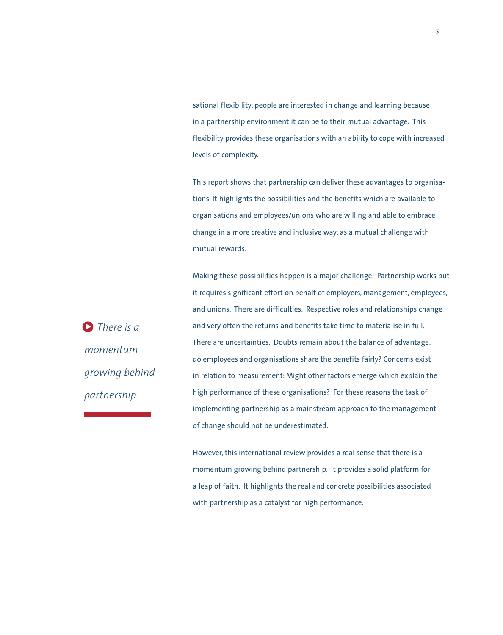sational flexibility: people are interested in change and learning because in a partnership environment it can be to their mutual advantage. This flexibility provides these organisations with an ability to cope with increased levels of complexity.

This report shows that partnership can deliver these advantages to organisations. It highlights the possibilities and the benefits which are available to organisations and employees/unions who are willing and able to embrace change in a more creative and inclusive way: as a mutual challenge with mutual rewards.

Making these possibilities happen is a major challenge. Partnership works but it requires significant effort on behalf of employers, management, employees, and unions. There are difficulties. Respective roles and relationships change and very often the returns and benefits take time to materialise in full. There are uncertainties. Doubts remain about the balance of advantage: do employees and organisations share the benefits fairly? Concerns exist in relation to measurement: Might other factors emerge which explain the high performance of these organisations? For these reasons the task of implementing partnership as a mainstream approach to the management of change should not be underestimated.

However, this international review provides a real sense that there is a momentum growing behind partnership. It provides a solid platform for a leap of faith. It highlights the real and concrete possibilities associated with partnership as a catalyst for high performance.

*There is a* 3*momentum growing behind partnership.*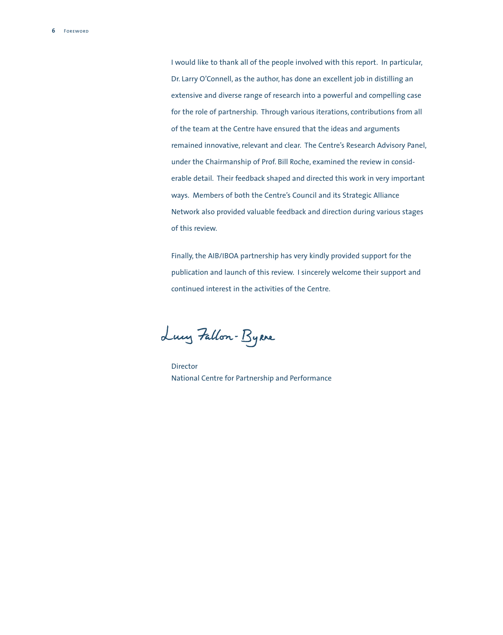I would like to thank all of the people involved with this report. In particular, Dr. Larry O'Connell, as the author, has done an excellent job in distilling an extensive and diverse range of research into a powerful and compelling case for the role of partnership. Through various iterations, contributions from all of the team at the Centre have ensured that the ideas and arguments remained innovative, relevant and clear. The Centre's Research Advisory Panel, under the Chairmanship of Prof. Bill Roche, examined the review in considerable detail. Their feedback shaped and directed this work in very important ways. Members of both the Centre's Council and its Strategic Alliance Network also provided valuable feedback and direction during various stages of this review.

Finally, the AIB/IBOA partnership has very kindly provided support for the publication and launch of this review. I sincerely welcome their support and continued interest in the activities of the Centre.

Lucy Fallon-Byrne

Director National Centre for Partnership and Performance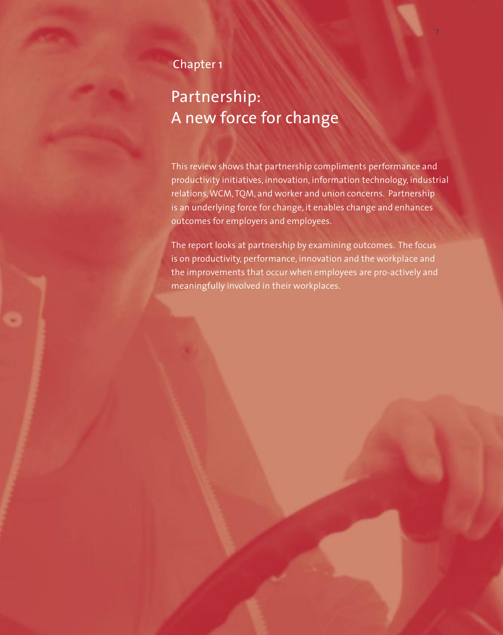# Chapter 1

# Partnership: A new force for change

This review shows that partnership compliments performance and productivity initiatives, innovation, information technology, industrial relations, WCM, TQM, and worker and union concerns. Partnership is an underlying force for change, it enables change and enhances outcomes for employers and employees.

**7**

The report looks at partnership by examining outcomes. The focus is on productivity, performance, innovation and the workplace and the improvements that occur when employees are pro-actively and meaningfully involved in their workplaces.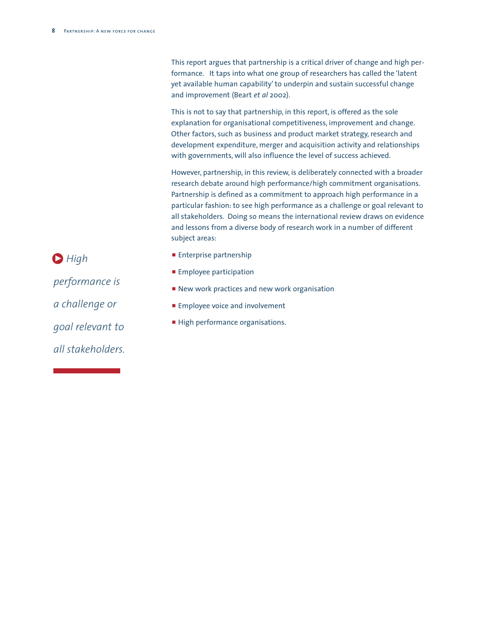This report argues that partnership is a critical driver of change and high performance. It taps into what one group of researchers has called the 'latent yet available human capability'to underpin and sustain successful change and improvement (Beart *et al* 2002).

This is not to say that partnership, in this report, is offered as the sole explanation for organisational competitiveness, improvement and change. Other factors, such as business and product market strategy, research and development expenditure, merger and acquisition activity and relationships with governments, will also influence the level of success achieved.

However, partnership, in this review, is deliberately connected with a broader research debate around high performance/high commitment organisations. Partnership is defined as a commitment to approach high performance in a particular fashion: to see high performance as a challenge or goal relevant to all stakeholders. Doing so means the international review draws on evidence and lessons from a diverse body of research work in a number of different subject areas:

- **Enterprise partnership**
- **Employee participation**
- **P** New work practices and new work organisation
- **Employee voice and involvement**
- High performance organisations.

**D** High *performance is a challenge or goal relevant to all stakeholders.*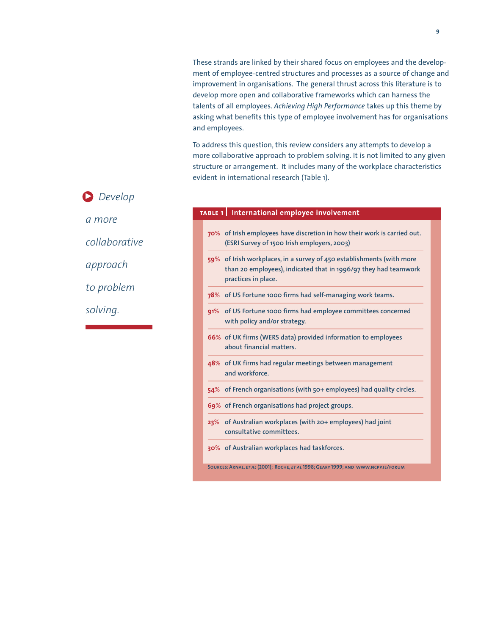These strands are linked by their shared focus on employees and the development of employee-centred structures and processes as a source of change and improvement in organisations. The general thrust across this literature is to develop more open and collaborative frameworks which can harness the talents of all employees. *Achieving High Performance* takes up this theme by asking what benefits this type of employee involvement has for organisations and employees.

To address this question, this review considers any attempts to develop a more collaborative approach to problem solving. It is not limited to any given structure or arrangement. It includes many of the workplace characteristics evident in international research (Table 1).

# **D** Develop *a more*

*collaborative*

*approach* 

*to problem* 

*solving.*

#### **table 1 International employee involvement**

- **70**% **of Irish employees have discretion in how their work is carried out. (ESRI Survey of 1500 Irish employers, 2003)**
- **59**% **of Irish workplaces, in a survey of 450 establishments (with more than 20 employees), indicated that in 1996/97 they had teamwork practices in place.**
- **78**% **of US Fortune 1000 firms had self-managing work teams.**
- **91**% **of US Fortune 1000 firms had employee committees concerned with policy and/or strategy.**
- **66**% **of UK firms (WERS data) provided information to employees about financial matters.**
- **48**% **of UK firms had regular meetings between management and workforce.**
- **54**% **of French organisations (with 50+ employees) had quality circles.**
- **69**% **of French organisations had project groups.**
- **23**% **of Australian workplaces (with 20+ employees) had joint consultative committees.**
- **30**% **of Australian workplaces had taskforces.**

**Sources:Arnal,** *et al* **(2001); Roche,** *et al* **1998;Geary 1999; and www.ncpp.ie/forum**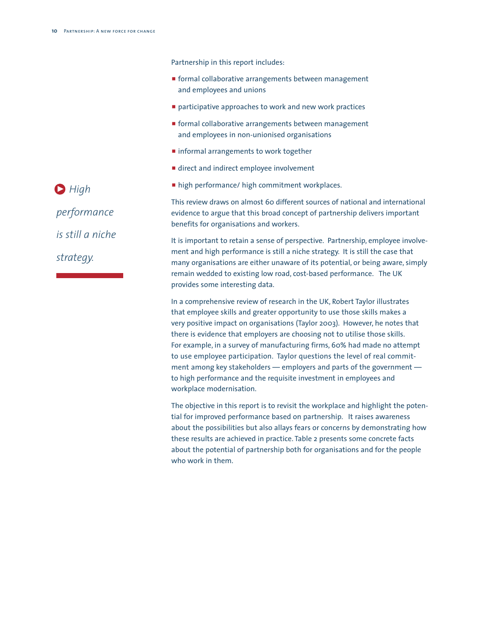Partnership in this report includes:

- **F** formal collaborative arrangements between management and employees and unions
- $\blacksquare$  participative approaches to work and new work practices
- **F** formal collaborative arrangements between management and employees in non-unionised organisations
- **n** informal arrangements to work together
- $\blacksquare$  direct and indirect employee involvement
- **n** high performance/ high commitment workplaces.

This review draws on almost 60 different sources of national and international evidence to argue that this broad concept of partnership delivers important benefits for organisations and workers.

It is important to retain a sense of perspective. Partnership, employee involvement and high performance is still a niche strategy. It is still the case that many organisations are either unaware of its potential, or being aware, simply remain wedded to existing low road, cost-based performance. The UK provides some interesting data.

In a comprehensive review of research in the UK, Robert Taylor illustrates that employee skills and greater opportunity to use those skills makes a very positive impact on organisations (Taylor 2003). However, he notes that there is evidence that employers are choosing not to utilise those skills. For example, in a survey of manufacturing firms, 60% had made no attempt to use employee participation. Taylor questions the level of real commitment among key stakeholders — employers and parts of the government to high performance and the requisite investment in employees and workplace modernisation.

The objective in this report is to revisit the workplace and highlight the potential for improved performance based on partnership. It raises awareness about the possibilities but also allays fears or concerns by demonstrating how these results are achieved in practice. Table 2 presents some concrete facts about the potential of partnership both for organisations and for the people who work in them.

**D** High *performance is still a niche strategy.*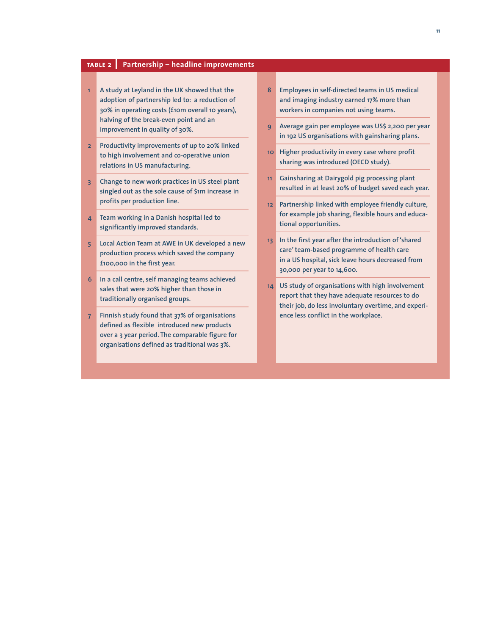#### **table2 Partnership – headline improvements**

- **1 A study at Leyland in the UK showed that the adoption of partnership led to: a reduction of 30% in operating costs (£10m overall 10 years), halving of the break-even point and an improvement in quality of 30%.**
- **2 Productivity improvements of up to 20% linked to high involvement and co-operative union relations in US manufacturing.**
- **3 Change to new work practices in US steel plant singled out as the sole cause of \$1m increase in profits per production line.**
- **4 Team working in a Danish hospital led to significantly improved standards.**
- **5 Local Action Team at AWE in UK developed a new production process which saved the company £100,000 in the first year.**
- **6 In a call centre, self managing teams achieved sales that were 20% higher than those in traditionally organised groups.**
- **7 Finnish study found that 37% of organisations defined as flexible introduced new products over a 3 year period. The comparable figure for organisations defined as traditional was 3%.**
- **8 Employees in self-directed teams in US medical and imaging industry earned 17% more than workers in companies not using teams.**
- **9 Average gain per employee was US\$ 2,200 per year in 192 US organisations with gainsharing plans.**
- **10 Higher productivity in every case where profit sharing was introduced (OECD study).**
- **11 Gainsharing at Dairygold pig processing plant resulted in at least 20% of budget saved each year.**
- **12 Partnership linked with employee friendly culture, for example job sharing, flexible hours and educational opportunities.**
- **13 In the first year after the introduction of 'shared care'team-based programme of health care in a US hospital, sick leave hours decreased from 30,000 per year to 14,600.**
- **14 US study of organisations with high involvement report that they have adequate resources to do their job, do less involuntary overtime, and experience less conflict in the workplace.**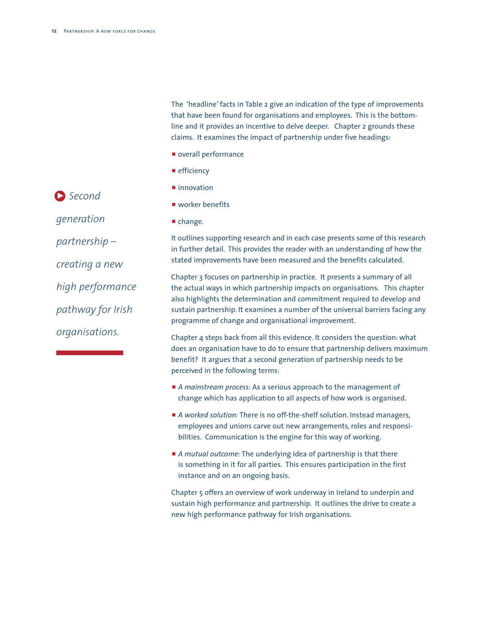The 'headline' facts in Table 2 give an indication of the type of improvements that have been found for organisations and employees. This is the bottomline and it provides an incentive to delve deeper. Chapter 2 grounds these claims. It examines the impact of partnership under five headings:

- $\blacksquare$  overall performance
- $\blacksquare$  efficiency
- $\blacksquare$  innovation
- $\blacksquare$  worker benefits
- $\blacksquare$  change.

It outlines supporting research and in each case presents some of this research in further detail. This provides the reader with an understanding of how the stated improvements have been measured and the benefits calculated.

Chapter 3 focuses on partnership in practice. It presents a summary of all the actual ways in which partnership impacts on organisations. This chapter also highlights the determination and commitment required to develop and sustain partnership. It examines a number of the universal barriers facing any programme of change and organisational improvement.

Chapter 4 steps back from all this evidence. It considers the question: what does an organisation have to do to ensure that partnership delivers maximum benefit? It argues that a second generation of partnership needs to be perceived in the following terms:

- **A** mainstream process: As a serious approach to the management of change which has application to all aspects of how work is organised.
- p *A worked solution:* There is no off-the-shelf solution. Instead managers, employees and unions carve out new arrangements, roles and responsibilities. Communication is the engine for this way of working.
- p *A mutual outcome:* The underlying idea of partnership is that there is something in it for all parties. This ensures participation in the first instance and on an ongoing basis.

Chapter 5 offers an overview of work underway in Ireland to underpin and sustain high performance and partnership. It outlines the drive to create a new high performance pathway for Irish organisations.

*generation partnership – creating a new high performance pathway for Irish organisations.*

*Second* 3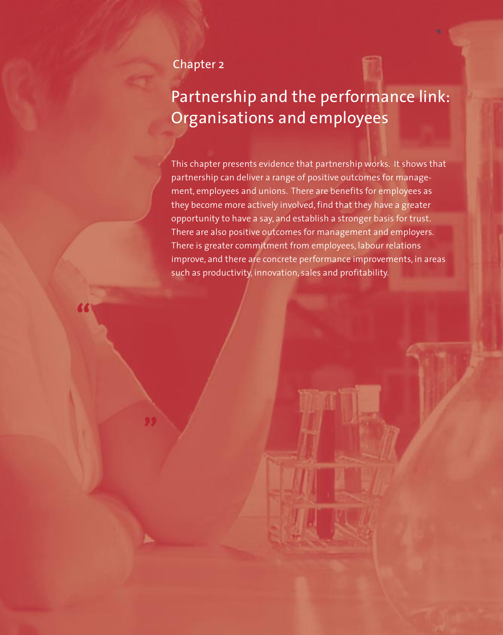### Chapter 2

**"**

# Partnership and the performance link: Organisations and employees

This chapter presents evidence that partnership works. It shows that partnership can deliver a range of positive outcomes for management, employees and unions. There are benefits for employees as they become more actively involved, find that they have a greater opportunity to have a say, and establish a stronger basis for trust. There are also positive outcomes for management and employers. There is greater commitment from employees, labour relations improve, and there are concrete performance improvements, in areas such as productivity, innovation, sales and profitability.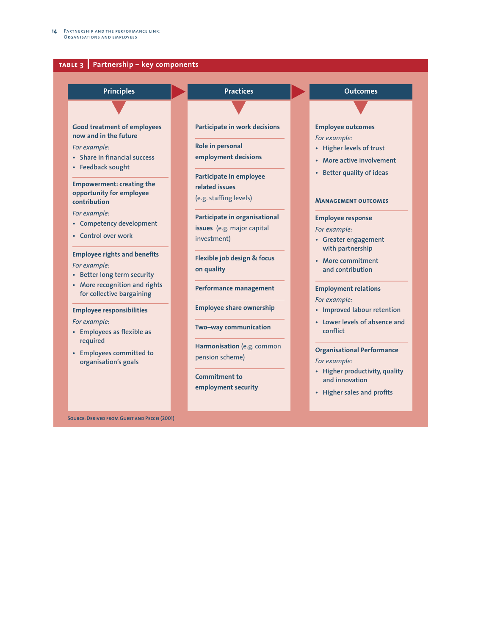

**Source:Derived from Guest and Peccei (2001)**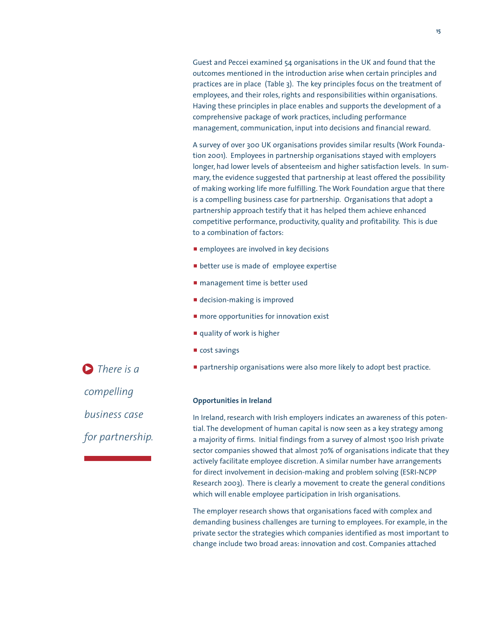Guest and Peccei examined 54 organisations in the UK and found that the outcomes mentioned in the introduction arise when certain principles and practices are in place (Table 3). The key principles focus on the treatment of employees, and their roles, rights and responsibilities within organisations. Having these principles in place enables and supports the development of a comprehensive package of work practices, including performance management, communication, input into decisions and financial reward.

A survey of over 300 UK organisations provides similar results (Work Foundation 2001). Employees in partnership organisations stayed with employers longer, had lower levels of absenteeism and higher satisfaction levels. In summary, the evidence suggested that partnership at least offered the possibility of making working life more fulfilling. The Work Foundation argue that there is a compelling business case for partnership. Organisations that adopt a partnership approach testify that it has helped them achieve enhanced competitive performance, productivity, quality and profitability. This is due to a combination of factors:

- $\blacksquare$  employees are involved in key decisions
- **P** better use is made of employee expertise
- **Permanagement time is better used**
- $\blacksquare$  decision-making is improved
- $\blacksquare$  more opportunities for innovation exist
- $\blacksquare$  quality of work is higher
- $\blacksquare$  cost savings
- **P** partnership organisations were also more likely to adopt best practice.

#### **Opportunities in Ireland**

In Ireland, research with Irish employers indicates an awareness of this potential. The development of human capital is now seen as a key strategy among a majority of firms. Initial findings from a survey of almost 1500 Irish private sector companies showed that almost 70% of organisations indicate that they actively facilitate employee discretion. A similar number have arrangements for direct involvement in decision-making and problem solving (ESRI-NCPP Research 2003). There is clearly a movement to create the general conditions which will enable employee participation in Irish organisations.

The employer research shows that organisations faced with complex and demanding business challenges are turning to employees. For example, in the private sector the strategies which companies identified as most important to change include two broad areas: innovation and cost. Companies attached

**D** There is a *compelling business case for partnership.*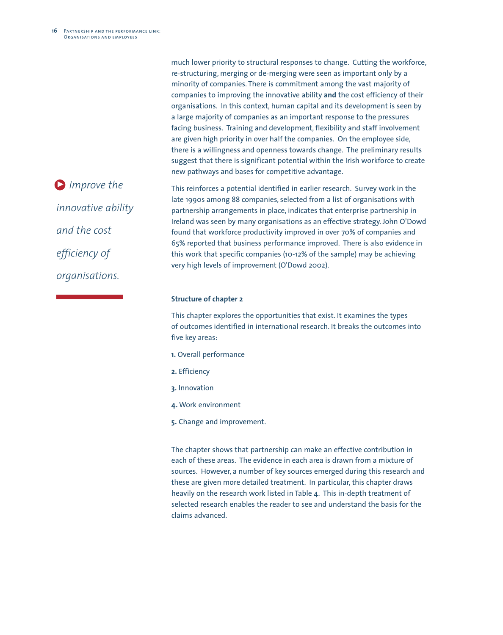much lower priority to structural responses to change. Cutting the workforce, re-structuring, merging or de-merging were seen as important only by a minority of companies. There is commitment among the vast majority of companies to improving the innovative ability **and** the cost efficiency of their organisations. In this context, human capital and its development is seen by a large majority of companies as an important response to the pressures facing business. Training and development, flexibility and staff involvement are given high priority in over half the companies. On the employee side, there is a willingness and openness towards change. The preliminary results suggest that there is significant potential within the Irish workforce to create new pathways and bases for competitive advantage.

This reinforces a potential identified in earlier research. Survey work in the late 1990s among 88 companies, selected from a list of organisations with partnership arrangements in place, indicates that enterprise partnership in Ireland was seen by many organisations as an effective strategy. John O'Dowd found that workforce productivity improved in over 70% of companies and 65% reported that business performance improved. There is also evidence in this work that specific companies (10-12% of the sample) may be achieving very high levels of improvement (O'Dowd 2002).

#### **Structure of chapter 2**

This chapter explores the opportunities that exist. It examines the types of outcomes identified in international research. It breaks the outcomes into five key areas:

- **1.** Overall performance
- **2.** Efficiency
- **3.** Innovation
- **4.** Work environment
- **5.** Change and improvement.

The chapter shows that partnership can make an effective contribution in each of these areas. The evidence in each area is drawn from a mixture of sources. However, a number of key sources emerged during this research and these are given more detailed treatment. In particular, this chapter draws heavily on the research work listed in Table 4. This in-depth treatment of selected research enables the reader to see and understand the basis for the claims advanced.

*Improve the* 3*innovative ability and the cost efficiency of organisations.*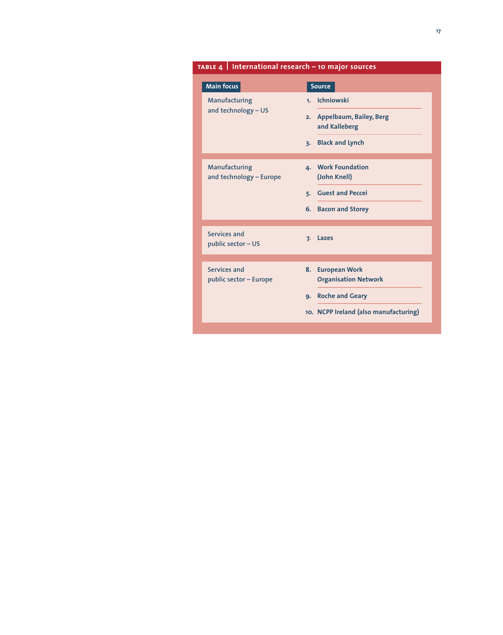|                                          | TABLE 4   International research - 10 major sources |  |  |  |  |
|------------------------------------------|-----------------------------------------------------|--|--|--|--|
| <b>Main focus</b>                        | <b>Source</b>                                       |  |  |  |  |
| Manufacturing                            | <b>Ichniowski</b><br>1 <sub>1</sub>                 |  |  |  |  |
| and technology - US                      | 2. Appelbaum, Bailey, Berg<br>and Kalleberg         |  |  |  |  |
|                                          | <b>Black and Lynch</b><br>3.                        |  |  |  |  |
| Manufacturing<br>and technology - Europe | 4. Work Foundation<br>(John Knell)                  |  |  |  |  |
|                                          | <b>Guest and Peccei</b><br>5.                       |  |  |  |  |
|                                          | 6. Bacon and Storey                                 |  |  |  |  |
| Services and<br>public sector - US       | Lazes<br>7.                                         |  |  |  |  |
| Services and                             | <b>European Work</b><br>8. .                        |  |  |  |  |
| public sector - Europe                   | <b>Organisation Network</b>                         |  |  |  |  |
|                                          | <b>Roche and Geary</b><br>9.                        |  |  |  |  |
|                                          | 10. NCPP Ireland (also manufacturing)               |  |  |  |  |
|                                          |                                                     |  |  |  |  |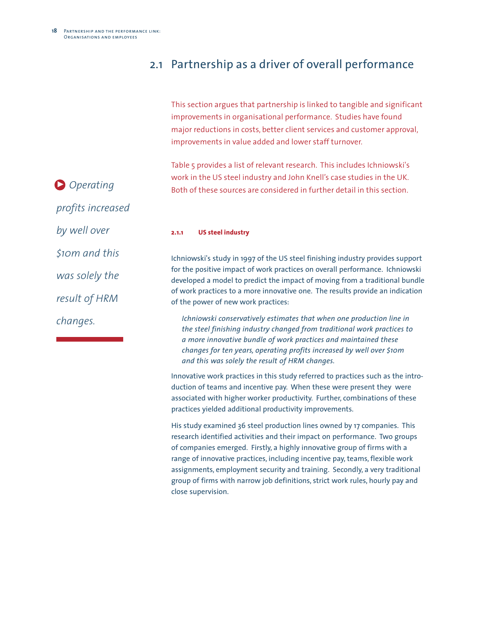## 2.1 Partnership as a driver of overall performance

This section argues that partnership is linked to tangible and significant improvements in organisational performance. Studies have found major reductions in costs, better client services and customer approval, improvements in value added and lower staff turnover.

Table 5 provides a list of relevant research. This includes Ichniowski's work in the US steel industry and John Knell's case studies in the UK. Both of these sources are considered in further detail in this section.

*Operating* 3*profits increased by well over \$10m and this was solely the result of HRM changes.*

**2.1.1 US steel industry** 

Ichniowski's study in 1997 of the US steel finishing industry provides support for the positive impact of work practices on overall performance. Ichniowski developed a model to predict the impact of moving from a traditional bundle of work practices to a more innovative one. The results provide an indication of the power of new work practices:

*Ichniowski conservatively estimates that when one production line in the steel finishing industry changed from traditional work practices to a more innovative bundle of work practices and maintained these changes for ten years, operating profits increased by well over \$10m and this was solely the result of HRM changes.*

Innovative work practices in this study referred to practices such as the introduction of teams and incentive pay. When these were present they were associated with higher worker productivity. Further, combinations of these practices yielded additional productivity improvements.

His study examined 36 steel production lines owned by 17 companies. This research identified activities and their impact on performance. Two groups of companies emerged. Firstly, a highly innovative group of firms with a range of innovative practices, including incentive pay, teams, flexible work assignments, employment security and training. Secondly, a very traditional group of firms with narrow job definitions, strict work rules, hourly pay and close supervision.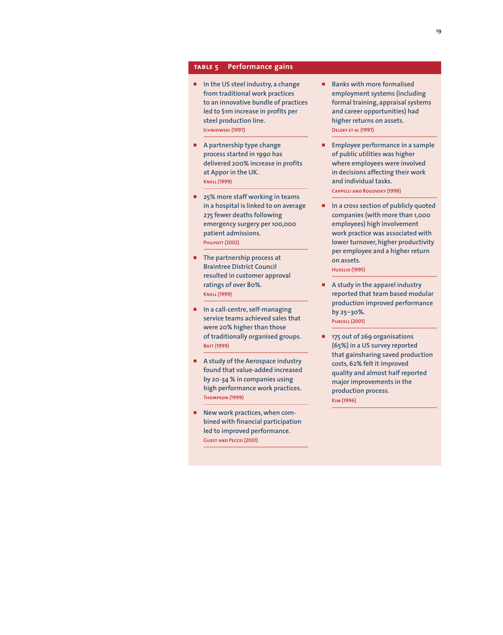#### **table5 Performance gains**

- p **In the US steel industry, a change from traditional work practices to an innovative bundle of practices led to \$1m increase in profits per steel production line. Ichniowski (1997)**
- p **A partnership type change process started in 1990 has delivered 200% increase in profits at Appor in the UK. Knell (1999)**
- p **25% more staff working in teams in a hospital is linked to on average 275 fewer deaths following emergency surgery per 100,000 patient admissions. Philpott (2002)**
- **F** The partnership process at **Braintree District Council resulted in customer approval ratings of over 80%. Knell (1999)**
- p **In a call-centre, self-managing service teams achieved sales that were 20% higher than those of traditionally organised groups. Batt (1999)**
- p **A study of the Aerospace industry found that value-added increased by 20-34 % in companies using high performance work practices. Thompson (1999)**
- New work practices, when com**bined with financial participation led to improved performance. Guest and Peccei (2001)**
- **Banks with more formalised employment systems (including formal training, appraisal systems and career opportunities) had higher returns on assets. Delery** *et al* **(1997)**
- **Employee performance in a sample of public utilities was higher where employees were involved in decisions affecting their work and individual tasks. Cappelli and Rogovsky (1998)**
- p **In a cross section of publicly quoted companies (with more than 1,000 employees) high involvement work practice was associated with lower turnover, higher productivity per employee and a higher return on assets. Huselid (1995)**
- p **A study in the apparel industry reported that team based modular production improved performance by 25–30%. Purcell (2001)**
- p **175 out of 269 organisations (65%) in a US survey reported that gainsharing saved production costs, 62% felt it improved quality and almost half reported major improvements in the production process. Kim (1996)**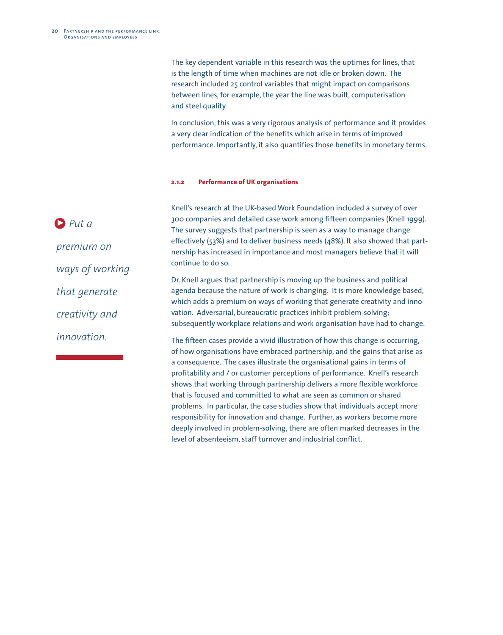The key dependent variable in this research was the uptimes for lines, that is the length of time when machines are not idle or broken down. The research included 25 control variables that might impact on comparisons between lines, for example, the year the line was built, computerisation and steel quality.

In conclusion, this was a very rigorous analysis of performance and it provides a very clear indication of the benefits which arise in terms of improved performance. Importantly, it also quantifies those benefits in monetary terms.

#### **2.1.2 Performance of UK organisations**

*Put a*  3*premium on ways of working that generate creativity and innovation.*

Knell's research at the UK-based Work Foundation included a survey of over 300 companies and detailed case work among fifteen companies (Knell 1999). The survey suggests that partnership is seen as a way to manage change effectively (53%) and to deliver business needs (48%). It also showed that partnership has increased in importance and most managers believe that it will continue to do so.

Dr. Knell argues that partnership is moving up the business and political agenda because the nature of work is changing. It is more knowledge based, which adds a premium on ways of working that generate creativity and innovation. Adversarial, bureaucratic practices inhibit problem-solving; subsequently workplace relations and work organisation have had to change.

The fifteen cases provide a vivid illustration of how this change is occurring, of how organisations have embraced partnership, and the gains that arise as a consequence. The cases illustrate the organisational gains in terms of profitability and / or customer perceptions of performance. Knell's research shows that working through partnership delivers a more flexible workforce that is focused and committed to what are seen as common or shared problems. In particular, the case studies show that individuals accept more responsibility for innovation and change. Further, as workers become more deeply involved in problem-solving, there are often marked decreases in the level of absenteeism, staff turnover and industrial conflict.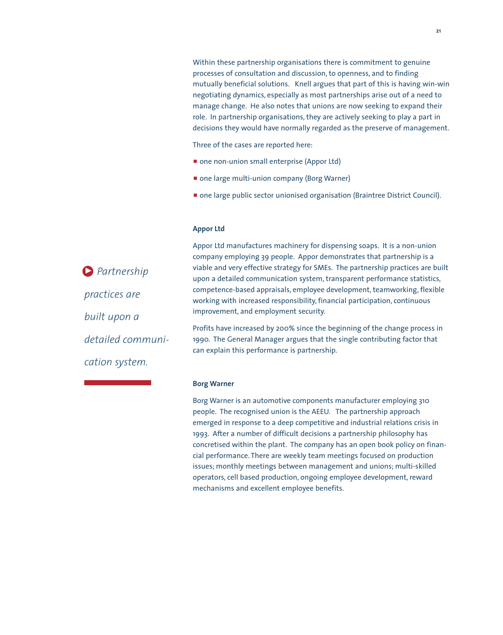Within these partnership organisations there is commitment to genuine processes of consultation and discussion, to openness, and to finding mutually beneficial solutions. Knell argues that part of this is having win-win negotiating dynamics, especially as most partnerships arise out of a need to manage change. He also notes that unions are now seeking to expand their role. In partnership organisations, they are actively seeking to play a part in decisions they would have normally regarded as the preserve of management.

Three of the cases are reported here:

- one non-union small enterprise (Appor Ltd)
- **n** one large multi-union company (Borg Warner)
- **n** one large public sector unionised organisation (Braintree District Council).

#### **Appor Ltd**

*Partnership* 3*practices are built upon a detailed communication system.*

Appor Ltd manufactures machinery for dispensing soaps. It is a non-union company employing 39 people. Appor demonstrates that partnership is a viable and very effective strategy for SMEs. The partnership practices are built upon a detailed communication system, transparent performance statistics, competence-based appraisals, employee development, teamworking, flexible working with increased responsibility, financial participation, continuous improvement, and employment security.

Profits have increased by 200% since the beginning of the change process in 1990. The General Manager argues that the single contributing factor that can explain this performance is partnership.

#### **Borg Warner**

Borg Warner is an automotive components manufacturer employing 310 people. The recognised union is the AEEU. The partnership approach emerged in response to a deep competitive and industrial relations crisis in 1993. After a number of difficult decisions a partnership philosophy has concretised within the plant. The company has an open book policy on financial performance. There are weekly team meetings focused on production issues; monthly meetings between management and unions; multi-skilled operators, cell based production, ongoing employee development, reward mechanisms and excellent employee benefits.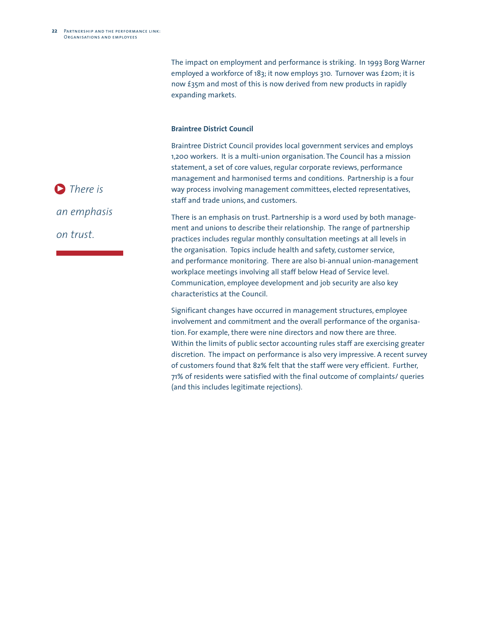The impact on employment and performance is striking. In 1993 Borg Warner employed a workforce of 183; it now employs 310. Turnover was £20m; it is now £35m and most of this is now derived from new products in rapidly expanding markets.

#### **Braintree District Council**

Braintree District Council provides local government services and employs 1,200 workers. It is a multi-union organisation. The Council has a mission statement, a set of core values, regular corporate reviews, performance management and harmonised terms and conditions. Partnership is a four way process involving management committees, elected representatives, staff and trade unions, and customers.

There is an emphasis on trust. Partnership is a word used by both management and unions to describe their relationship. The range of partnership practices includes regular monthly consultation meetings at all levels in the organisation. Topics include health and safety, customer service, and performance monitoring. There are also bi-annual union-management workplace meetings involving all staff below Head of Service level. Communication, employee development and job security are also key characteristics at the Council.

Significant changes have occurred in management structures, employee involvement and commitment and the overall performance of the organisation. For example, there were nine directors and now there are three. Within the limits of public sector accounting rules staff are exercising greater discretion. The impact on performance is also very impressive. A recent survey of customers found that 82% felt that the staff were very efficient. Further, 71% of residents were satisfied with the final outcome of complaints/ queries (and this includes legitimate rejections).

**D** There is

*an emphasis* 

*on trust.*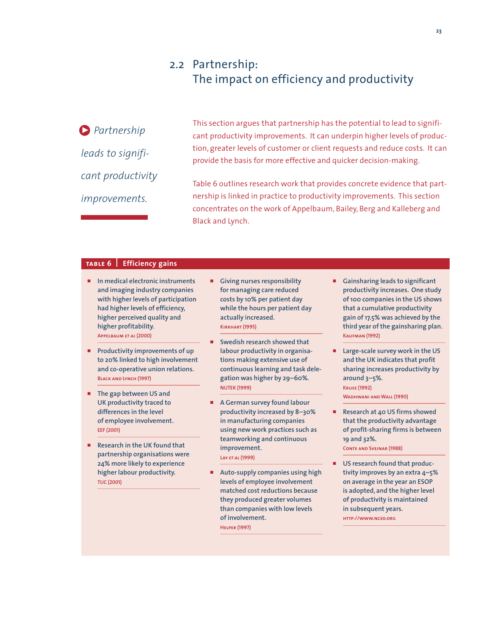### 2.2 Partnership: The impact on efficiency and productivity

*Partnership* 3 *leads to significant productivity improvements.*

This section argues that partnership has the potential to lead to significant productivity improvements. It can underpin higher levels of production, greater levels of customer or client requests and reduce costs. It can provide the basis for more effective and quicker decision-making.

Table 6 outlines research work that provides concrete evidence that partnership is linked in practice to productivity improvements. This section concentrates on the work of Appelbaum, Bailey, Berg and Kalleberg and Black and Lynch.

#### TABLE 6 **6 Efficiency gains**

- p **In medical electronic instruments and imaging industry companies with higher levels of participation had higher levels of efficiency, higher perceived quality and higher profitability. Appelbaum** *et al* **(2000)**
- p **Productivity improvements of up to 20% linked to high involvement and co-operative union relations. Black and Lynch (1997)**
- p **The gap between US and UK productivity traced to differences in the level of employee involvement. EEF (2001)**
- p **Research in the UK found that partnership organisations were 24% more likely to experience higher labour productivity. TUC (2001)**
- p **Giving nurses responsibility for managing care reduced costs by 10% per patient day while the hours per patient day actually increased. Kirkhart (1995)**
- **Swedish research showed that labour productivity in organisations making extensive use of continuous learning and task delegation was higher by 29–60%. NUTEK (1999)**
- p **A German survey found labour productivity increased by 8–30% in manufacturing companies using new work practices such as teamworking and continuous improvement. Lay** *et al* **(1999)**
- p **Auto-supply companies using high levels of employee involvement matched cost reductions because they produced greater volumes than companies with low levels of involvement. Helper (1997)**
- **E** Gainsharing leads to significant **productivity increases. One study of 100 companies in the US shows that a cumulative productivity gain of 17.5% was achieved by the third year of the gainsharing plan. Kaufman (1992)**
- p **Large-scale survey work in the US and the UK indicates that profit sharing increases productivity by around 3–5%. Kruse (1992) Wadhwani and Wall (1990)**
- Research at 40 US firms showed **that the productivity advantage of profit-sharing firms is between 19 and 32%. Conte and Svejnar (1988)**
- US research found that produc**tivity improves by an extra 4–5% on average in the year an ESOP is adopted, and the higher level of productivity is maintained in subsequent years.**

**http://www.nceo.org**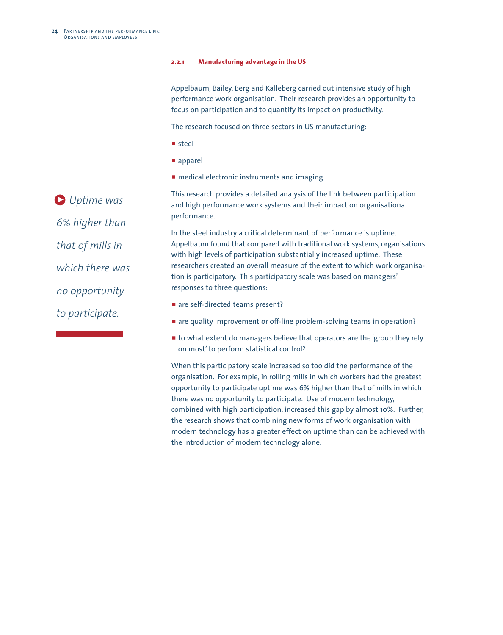#### **2.2.1 Manufacturing advantage in the US**

Appelbaum, Bailey, Berg and Kalleberg carried out intensive study of high performance work organisation. Their research provides an opportunity to focus on participation and to quantify its impact on productivity.

The research focused on three sectors in US manufacturing:

- p steel
- $\blacksquare$  apparel
- **n** medical electronic instruments and imaging.

This research provides a detailed analysis of the link between participation and high performance work systems and their impact on organisational performance. In the steel industry a critical determinant of performance is uptime.

Appelbaum found that compared with traditional work systems, organisations with high levels of participation substantially increased uptime. These researchers created an overall measure of the extent to which work organisation is participatory. This participatory scale was based on managers' responses to three questions:

- are self-directed teams present?
- **E** are quality improvement or off-line problem-solving teams in operation?
- $\blacksquare$  to what extent do managers believe that operators are the 'group they rely on most'to perform statistical control?

When this participatory scale increased so too did the performance of the organisation. For example, in rolling mills in which workers had the greatest opportunity to participate uptime was 6% higher than that of mills in which there was no opportunity to participate. Use of modern technology, combined with high participation, increased this gap by almost 10%. Further, the research shows that combining new forms of work organisation with modern technology has a greater effect on uptime than can be achieved with the introduction of modern technology alone.

*Uptime was* 3*6% higher than that of mills in which there was no opportunity to participate.*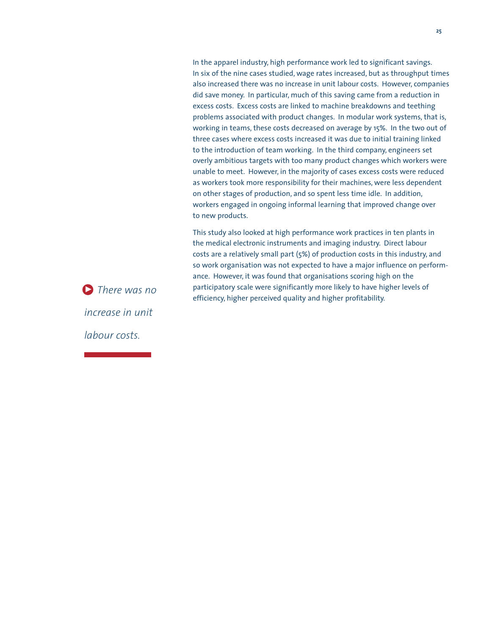In the apparel industry, high performance work led to significant savings. In six of the nine cases studied, wage rates increased, but as throughput times also increased there was no increase in unit labour costs. However, companies did save money. In particular, much of this saving came from a reduction in excess costs. Excess costs are linked to machine breakdowns and teething problems associated with product changes. In modular work systems, that is, working in teams, these costs decreased on average by 15%. In the two out of three cases where excess costs increased it was due to initial training linked to the introduction of team working. In the third company, engineers set overly ambitious targets with too many product changes which workers were unable to meet. However, in the majority of cases excess costs were reduced as workers took more responsibility for their machines, were less dependent on other stages of production, and so spent less time idle. In addition, workers engaged in ongoing informal learning that improved change over to new products.

This study also looked at high performance work practices in ten plants in the medical electronic instruments and imaging industry. Direct labour costs are a relatively small part (5%) of production costs in this industry, and so work organisation was not expected to have a major influence on performance. However, it was found that organisations scoring high on the participatory scale were significantly more likely to have higher levels of efficiency, higher perceived quality and higher profitability.

*There was no* 3 *increase in unit labour costs.*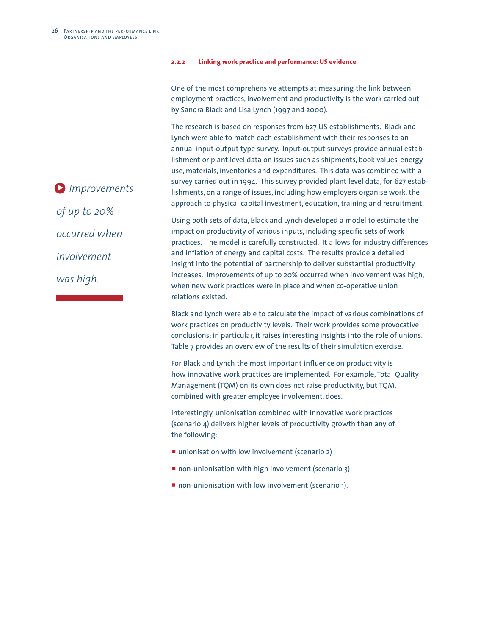#### **2.2.2 Linking work practice and performance: US evidence**

One of the most comprehensive attempts at measuring the link between employment practices, involvement and productivity is the work carried out by Sandra Black and Lisa Lynch (1997 and 2000).

The research is based on responses from 627 US establishments. Black and Lynch were able to match each establishment with their responses to an annual input-output type survey. Input-output surveys provide annual establishment or plant level data on issues such as shipments, book values, energy use, materials, inventories and expenditures. This data was combined with a survey carried out in 1994. This survey provided plant level data, for 627 establishments, on a range of issues, including how employers organise work, the approach to physical capital investment, education, training and recruitment.

Using both sets of data, Black and Lynch developed a model to estimate the impact on productivity of various inputs, including specific sets of work practices. The model is carefully constructed. It allows for industry differences and inflation of energy and capital costs. The results provide a detailed insight into the potential of partnership to deliver substantial productivity increases. Improvements of up to 20% occurred when involvement was high, when new work practices were in place and when co-operative union relations existed.

Black and Lynch were able to calculate the impact of various combinations of work practices on productivity levels. Their work provides some provocative conclusions; in particular, it raises interesting insights into the role of unions. Table 7 provides an overview of the results of their simulation exercise.

For Black and Lynch the most important influence on productivity is how innovative work practices are implemented. For example, Total Quality Management (TQM) on its own does not raise productivity, but TQM, combined with greater employee involvement, does.

Interestingly, unionisation combined with innovative work practices (scenario 4) delivers higher levels of productivity growth than any of the following:

- $\blacksquare$  unionisation with low involvement (scenario 2)
- **non-unionisation with high involvement (scenario 3)**
- **non-unionisation with low involvement (scenario 1).**

*Improvements* 3*of up to 20% occurred when involvement was high.*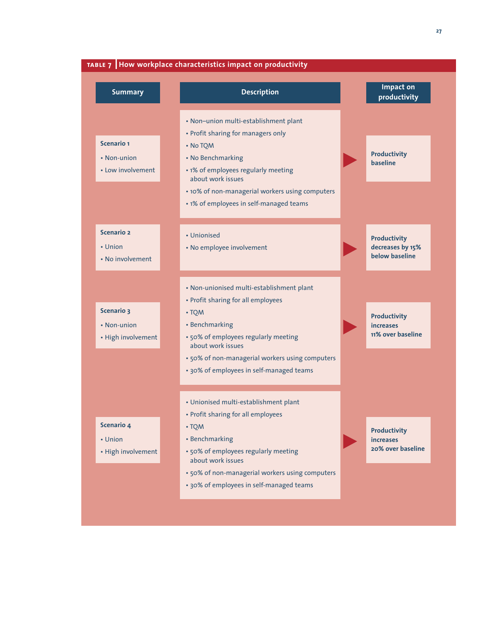|  |  | 27 |
|--|--|----|
|  |  |    |

| <b>Summary</b>     | <b>Description</b>                                        | Impact on<br>productivity               |
|--------------------|-----------------------------------------------------------|-----------------------------------------|
|                    | • Non-union multi-establishment plant                     |                                         |
|                    | • Profit sharing for managers only                        |                                         |
| <b>Scenario 1</b>  | • No TQM                                                  |                                         |
| • Non-union        | • No Benchmarking                                         | <b>Productivity</b><br>baseline         |
| • Low involvement  | • 1% of employees regularly meeting<br>about work issues  |                                         |
|                    | • 10% of non-managerial workers using computers           |                                         |
|                    | • 1% of employees in self-managed teams                   |                                         |
| <b>Scenario 2</b>  | • Unionised                                               | <b>Productivity</b>                     |
| • Union            | • No employee involvement                                 | decreases by 15%                        |
| • No involvement   |                                                           | below baseline                          |
|                    | • Non-unionised multi-establishment plant                 |                                         |
|                    | • Profit sharing for all employees                        |                                         |
| <b>Scenario 3</b>  | • TQM                                                     |                                         |
| • Non-union        | • Benchmarking                                            | <b>Productivity</b><br><b>increases</b> |
| • High involvement | · 50% of employees regularly meeting                      | 11% over baseline                       |
|                    | about work issues                                         |                                         |
|                    | · 50% of non-managerial workers using computers           |                                         |
|                    | • 30% of employees in self-managed teams                  |                                         |
|                    | • Unionised multi-establishment plant                     |                                         |
|                    | • Profit sharing for all employees                        |                                         |
| Scenario 4         | • TQM                                                     | <b>Productivity</b>                     |
| • Union            | • Benchmarking                                            | <b>increases</b>                        |
| • High involvement | • 50% of employees regularly meeting<br>about work issues | 20% over baseline                       |
|                    | · 50% of non-managerial workers using computers           |                                         |
|                    | • 30% of employees in self-managed teams                  |                                         |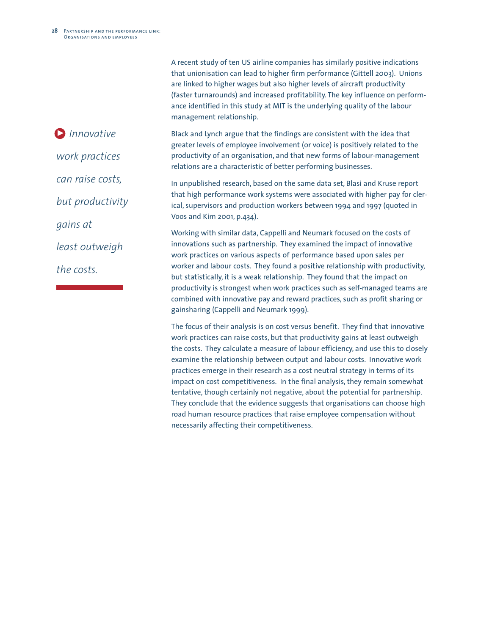*Innovative* 3*work practices can raise costs, but productivity gains at least outweigh the costs.*

A recent study of ten US airline companies has similarly positive indications that unionisation can lead to higher firm performance (Gittell 2003). Unions are linked to higher wages but also higher levels of aircraft productivity (faster turnarounds) and increased profitability. The key influence on performance identified in this study at MIT is the underlying quality of the labour management relationship.

Black and Lynch argue that the findings are consistent with the idea that greater levels of employee involvement (or voice) is positively related to the productivity of an organisation, and that new forms of labour-management relations are a characteristic of better performing businesses.

In unpublished research, based on the same data set, Blasi and Kruse report that high performance work systems were associated with higher pay for clerical, supervisors and production workers between 1994 and 1997 (quoted in Voos and Kim 2001, p.434).

Working with similar data, Cappelli and Neumark focused on the costs of innovations such as partnership. They examined the impact of innovative work practices on various aspects of performance based upon sales per worker and labour costs. They found a positive relationship with productivity, but statistically, it is a weak relationship. They found that the impact on productivity is strongest when work practices such as self-managed teams are combined with innovative pay and reward practices, such as profit sharing or gainsharing (Cappelli and Neumark 1999).

The focus of their analysis is on cost versus benefit. They find that innovative work practices can raise costs, but that productivity gains at least outweigh the costs. They calculate a measure of labour efficiency, and use this to closely examine the relationship between output and labour costs. Innovative work practices emerge in their research as a cost neutral strategy in terms of its impact on cost competitiveness. In the final analysis, they remain somewhat tentative, though certainly not negative, about the potential for partnership. They conclude that the evidence suggests that organisations can choose high road human resource practices that raise employee compensation without necessarily affecting their competitiveness.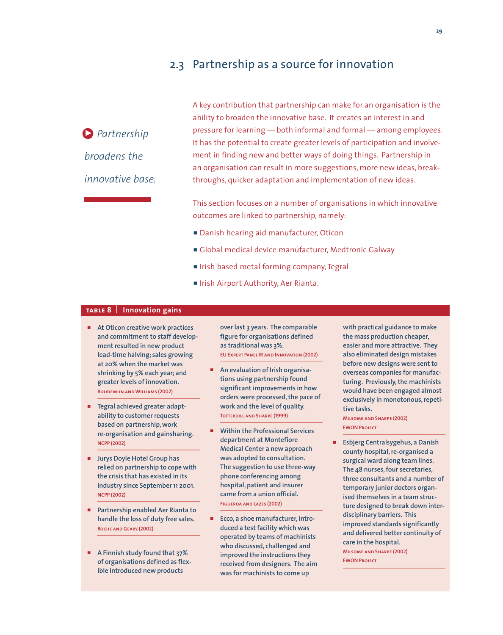### 2.3 Partnership as a source for innovation

*Partnership* 3 *broadens the innovative base.* A key contribution that partnership can make for an organisation is the ability to broaden the innovative base. It creates an interest in and pressure for learning — both informal and formal — among employees. It has the potential to create greater levels of participation and involvement in finding new and better ways of doing things. Partnership in an organisation can result in more suggestions, more new ideas, breakthroughs, quicker adaptation and implementation of new ideas.

This section focuses on a number of organisations in which innovative outcomes are linked to partnership, namely:

- **Danish hearing aid manufacturer, Oticon**
- p Global medical device manufacturer, Medtronic Galway
- **IF Irish based metal forming company, Tegral**
- **F** Irish Airport Authority, Aer Rianta.

#### **table8 Innovation gains**

- At Oticon creative work practices **and commitment to staff development resulted in new product lead-time halving; sales growing at 20% when the market was shrinking by 5% each year; and greater levels of innovation. Boudewijn and Williams (2002)**
- p **Tegral achieved greater adaptability to customer requests based on partnership,work re-organisation and gainsharing. NCPP (2002)**
- **F** Jurys Doyle Hotel Group has **relied on partnership to cope with the crisis that has existed in its industry since September 11 2001. NCPP (2002)**
- p **Partnership enabled Aer Rianta to handle the loss of duty free sales. Roche and Geary (2002)**
- p **A Finnish study found that 37% of organisations defined as flexible introduced new products**

**over last 3 years. The comparable figure for organisations defined as traditional was 3%. EU Expert Panel IR and Innovation (2002)**

- **E** An evaluation of Irish organisa**tions using partnership found significant improvements in how orders were processed,the pace of work and the level of quality. Totterdill and Sharpe (1999)**
- p **Within the Professional Services department at Montefiore Medical Center a new approach was adopted to consultation. The suggestion to use three-way phone conferencing among hospital, patient and insurer came from a union official. Figueroa and Lazes (2002)**
- p **Ecco, a shoe manufacturer, introduced a test facility which was operated by teams of machinists who discussed, challenged and improved the instructions they received from designers. The aim was for machinists to come up**

**with practical guidance to make the mass production cheaper, easier and more attractive. They also eliminated design mistakes before new designs were sent to overseas companies for manufacturing. Previously,the machinists would have been engaged almost exclusively in monotonous,repetitive tasks.**

**Milsome and Sharpe (2002) EWON Project**

p **Esbjerg Centralsygehus, a Danish county hospital,re-organised a surgical ward along team lines. The 48 nurses,four secretaries, three consultants and a number of temporary junior doctors organised themselves in a team structure designed to break down interdisciplinary barriers. This improved standards significantly and delivered better continuity of care in the hospital.**

**Milsome and Sharpe (2002) EWON Project**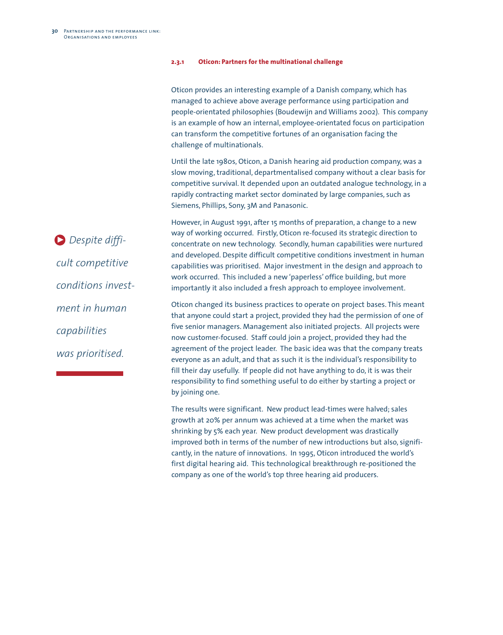#### **2.3.1 Oticon: Partners for the multinational challenge**

Oticon provides an interesting example of a Danish company, which has managed to achieve above average performance using participation and people-orientated philosophies (Boudewijn and Williams 2002). This company is an example of how an internal, employee-orientated focus on participation can transform the competitive fortunes of an organisation facing the challenge of multinationals.

Until the late 1980s, Oticon, a Danish hearing aid production company, was a slow moving, traditional, departmentalised company without a clear basis for competitive survival. It depended upon an outdated analogue technology, in a rapidly contracting market sector dominated by large companies, such as Siemens, Phillips, Sony, 3M and Panasonic.

However, in August 1991, after 15 months of preparation, a change to a new way of working occurred. Firstly, Oticon re-focused its strategic direction to concentrate on new technology. Secondly, human capabilities were nurtured and developed. Despite difficult competitive conditions investment in human capabilities was prioritised. Major investment in the design and approach to work occurred. This included a new 'paperless' office building, but more importantly it also included a fresh approach to employee involvement.

Oticon changed its business practices to operate on project bases. This meant that anyone could start a project, provided they had the permission of one of five senior managers. Management also initiated projects. All projects were now customer-focused. Staff could join a project, provided they had the agreement of the project leader. The basic idea was that the company treats everyone as an adult, and that as such it is the individual's responsibility to fill their day usefully. If people did not have anything to do, it is was their responsibility to find something useful to do either by starting a project or by joining one.

The results were significant. New product lead-times were halved; sales growth at 20% per annum was achieved at a time when the market was shrinking by 5% each year. New product development was drastically improved both in terms of the number of new introductions but also, significantly, in the nature of innovations. In 1995, Oticon introduced the world's first digital hearing aid. This technological breakthrough re-positioned the company as one of the world's top three hearing aid producers.

*Despite diffi-*3*cult competitive conditions investment in human capabilities was prioritised.*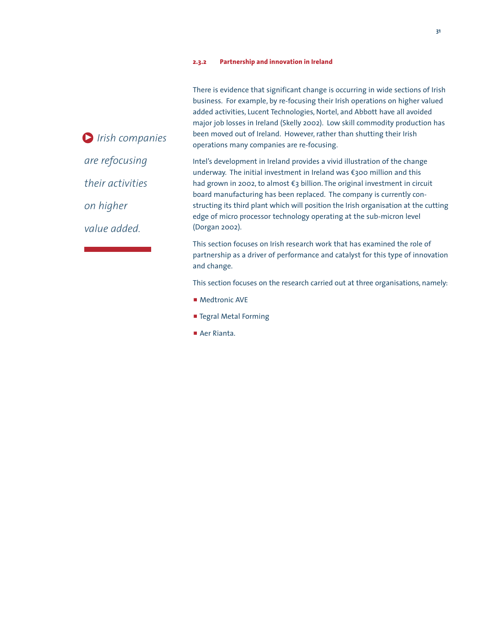There is evidence that significant change is occurring in wide sections of Irish business. For example, by re-focusing their Irish operations on higher valued added activities, Lucent Technologies, Nortel, and Abbott have all avoided major job losses in Ireland (Skelly 2002). Low skill commodity production has been moved out of Ireland. However, rather than shutting their Irish operations many companies are re-focusing.

Intel's development in Ireland provides a vivid illustration of the change underway. The initial investment in Ireland was  $\epsilon$ 300 million and this had grown in 2002, to almost  $\epsilon_3$  billion. The original investment in circuit board manufacturing has been replaced. The company is currently constructing its third plant which will position the Irish organisation at the cutting edge of micro processor technology operating at the sub-micron level (Dorgan 2002).

This section focuses on Irish research work that has examined the role of partnership as a driver of performance and catalyst for this type of innovation and change.

This section focuses on the research carried out at three organisations, namely:

- **P** Medtronic AVE
- **F** Tegral Metal Forming
- Aer Rianta.

*Irish companies* 3*are refocusing their activities on higher value added.*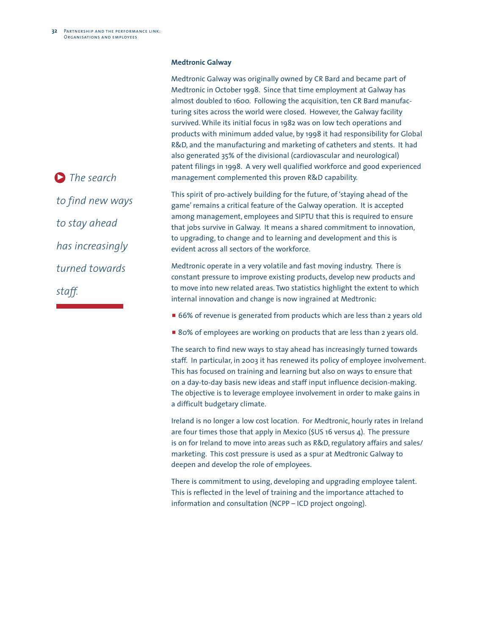#### **Medtronic Galway**

Medtronic Galway was originally owned by CR Bard and became part of Medtronic in October 1998. Since that time employment at Galway has almost doubled to 1600. Following the acquisition, ten CR Bard manufacturing sites across the world were closed. However, the Galway facility survived.While its initial focus in 1982 was on low tech operations and products with minimum added value, by 1998 it had responsibility for Global R&D, and the manufacturing and marketing of catheters and stents. It had also generated 35% of the divisional (cardiovascular and neurological) patent filings in 1998. A very well qualified workforce and good experienced management complemented this proven R&D capability.

This spirit of pro-actively building for the future, of 'staying ahead of the game' remains a critical feature of the Galway operation. It is accepted among management, employees and SIPTU that this is required to ensure that jobs survive in Galway. It means a shared commitment to innovation, to upgrading, to change and to learning and development and this is evident across all sectors of the workforce.

Medtronic operate in a very volatile and fast moving industry. There is constant pressure to improve existing products, develop new products and to move into new related areas. Two statistics highlight the extent to which internal innovation and change is now ingrained at Medtronic:

- 66% of revenue is generated from products which are less than 2 years old
- 80% of employees are working on products that are less than 2 years old.

The search to find new ways to stay ahead has increasingly turned towards staff. In particular, in 2003 it has renewed its policy of employee involvement. This has focused on training and learning but also on ways to ensure that on a day-to-day basis new ideas and staff input influence decision-making. The objective is to leverage employee involvement in order to make gains in a difficult budgetary climate.

Ireland is no longer a low cost location. For Medtronic, hourly rates in Ireland are four times those that apply in Mexico (\$US 16 versus 4). The pressure is on for Ireland to move into areas such as R&D, regulatory affairs and sales/ marketing. This cost pressure is used as a spur at Medtronic Galway to deepen and develop the role of employees.

There is commitment to using, developing and upgrading employee talent. This is reflected in the level of training and the importance attached to information and consultation (NCPP – ICD project ongoing).

**D** The search *to find new ways to stay ahead has increasingly turned towards staff.*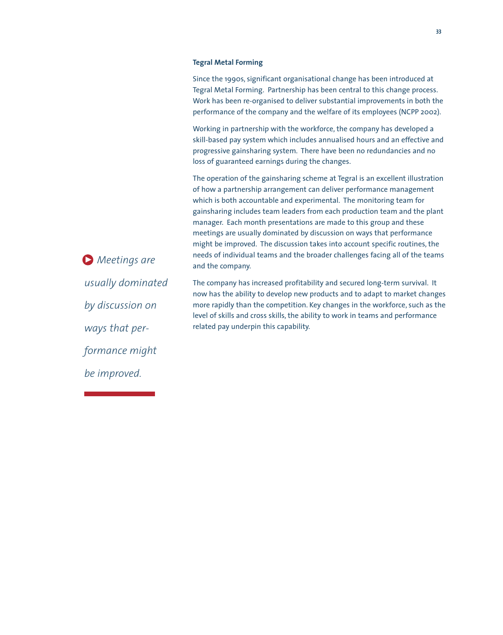#### **Tegral Metal Forming**

Since the 1990s, significant organisational change has been introduced at Tegral Metal Forming. Partnership has been central to this change process. Work has been re-organised to deliver substantial improvements in both the performance of the company and the welfare of its employees (NCPP 2002).

Working in partnership with the workforce, the company has developed a skill-based pay system which includes annualised hours and an effective and progressive gainsharing system. There have been no redundancies and no loss of guaranteed earnings during the changes.

The operation of the gainsharing scheme at Tegral is an excellent illustration of how a partnership arrangement can deliver performance management which is both accountable and experimental. The monitoring team for gainsharing includes team leaders from each production team and the plant manager. Each month presentations are made to this group and these meetings are usually dominated by discussion on ways that performance might be improved. The discussion takes into account specific routines, the needs of individual teams and the broader challenges facing all of the teams and the company.

The company has increased profitability and secured long-term survival. It now has the ability to develop new products and to adapt to market changes more rapidly than the competition. Key changes in the workforce, such as the level of skills and cross skills, the ability to work in teams and performance related pay underpin this capability.

*Meetings are* 3*usually dominated by discussion on ways that performance might be improved.*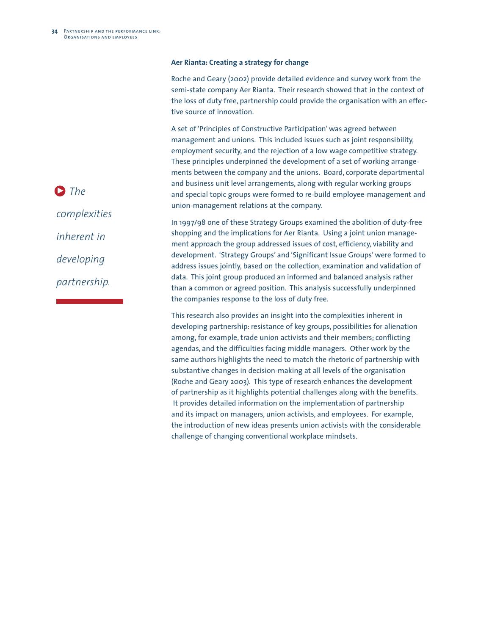#### **Aer Rianta: Creating a strategy for change**

Roche and Geary (2002) provide detailed evidence and survey work from the semi-state company Aer Rianta. Their research showed that in the context of the loss of duty free, partnership could provide the organisation with an effective source of innovation.

A set of 'Principles of Constructive Participation' was agreed between management and unions. This included issues such as joint responsibility, employment security, and the rejection of a low wage competitive strategy. These principles underpinned the development of a set of working arrangements between the company and the unions. Board, corporate departmental and business unit level arrangements, along with regular working groups and special topic groups were formed to re-build employee-management and union-management relations at the company.

In 1997/98 one of these Strategy Groups examined the abolition of duty-free shopping and the implications for Aer Rianta. Using a joint union management approach the group addressed issues of cost, efficiency, viability and development. 'Strategy Groups' and 'Significant Issue Groups' were formed to address issues jointly, based on the collection, examination and validation of data. This joint group produced an informed and balanced analysis rather than a common or agreed position. This analysis successfully underpinned the companies response to the loss of duty free.

This research also provides an insight into the complexities inherent in developing partnership: resistance of key groups, possibilities for alienation among, for example, trade union activists and their members; conflicting agendas, and the difficulties facing middle managers. Other work by the same authors highlights the need to match the rhetoric of partnership with substantive changes in decision-making at all levels of the organisation (Roche and Geary 2003). This type of research enhances the development of partnership as it highlights potential challenges along with the benefits. It provides detailed information on the implementation of partnership and its impact on managers, union activists, and employees. For example, the introduction of new ideas presents union activists with the considerable challenge of changing conventional workplace mindsets.

*complexities inherent in developing*

**D** The

*partnership.*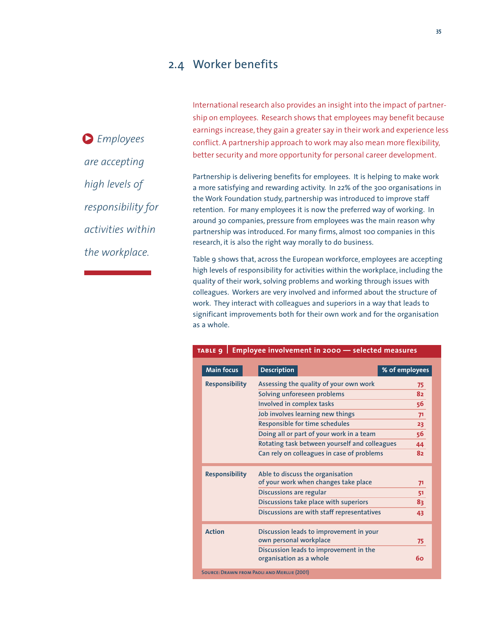### 2.4 Worker benefits

*Employees*  3 *are accepting high levels of responsibility for activities within the workplace.*

International research also provides an insight into the impact of partnership on employees. Research shows that employees may benefit because earnings increase, they gain a greater say in their work and experience less conflict. A partnership approach to work may also mean more flexibility, better security and more opportunity for personal career development.

Partnership is delivering benefits for employees. It is helping to make work a more satisfying and rewarding activity. In 22% of the 300 organisations in the Work Foundation study, partnership was introduced to improve staff retention. For many employees it is now the preferred way of working. In around 30 companies, pressure from employees was the main reason why partnership was introduced. For many firms, almost 100 companies in this research, it is also the right way morally to do business.

Table 9 shows that, across the European workforce, employees are accepting high levels of responsibility for activities within the workplace, including the quality of their work, solving problems and working through issues with colleagues. Workers are very involved and informed about the structure of work. They interact with colleagues and superiors in a way that leads to significant improvements both for their own work and for the organisation as a whole.

| <b>Main focus</b>     | <b>Description</b>                                                | % of employees |
|-----------------------|-------------------------------------------------------------------|----------------|
| <b>Responsibility</b> | Assessing the quality of your own work                            | 75             |
|                       | Solving unforeseen problems                                       | 82             |
|                       | Involved in complex tasks                                         | 56             |
|                       | Job involves learning new things                                  | 7 <sup>1</sup> |
|                       | Responsible for time schedules                                    | 23             |
|                       | Doing all or part of your work in a team                          | 56             |
|                       | Rotating task between yourself and colleagues                     | 44             |
|                       | Can rely on colleagues in case of problems                        | 82             |
| <b>Responsibility</b> | Able to discuss the organisation                                  |                |
|                       | of your work when changes take place                              | 71             |
|                       | <b>Discussions are regular</b>                                    | 51             |
|                       | Discussions take place with superiors                             | 83             |
|                       | Discussions are with staff representatives                        | 43             |
| <b>Action</b>         | Discussion leads to improvement in your                           |                |
|                       | own personal workplace                                            | 75             |
|                       | Discussion leads to improvement in the<br>organisation as a whole | 60             |
|                       | <b>SOURCE: DRAWN FROM PAOLI AND MERLLIE (2001)</b>                |                |

#### **table9 Employee involvement in 2000 — selected measures**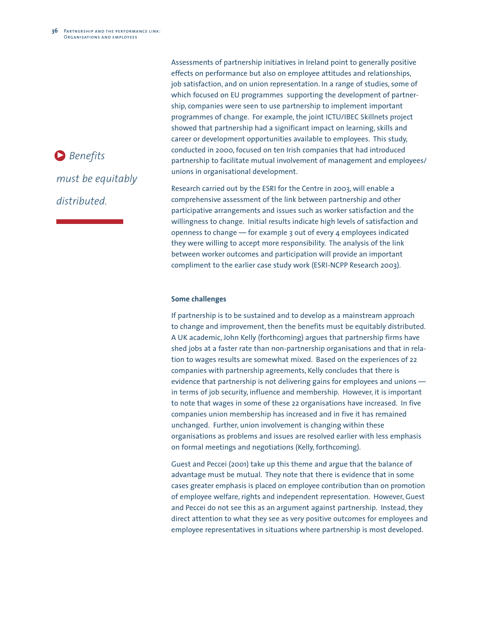*Benefits*  3*must be equitably distributed.*

Assessments of partnership initiatives in Ireland point to generally positive effects on performance but also on employee attitudes and relationships, job satisfaction, and on union representation. In a range of studies, some of which focused on EU programmes supporting the development of partnership, companies were seen to use partnership to implement important programmes of change. For example, the joint ICTU/IBEC Skillnets project showed that partnership had a significant impact on learning, skills and career or development opportunities available to employees. This study, conducted in 2000, focused on ten Irish companies that had introduced partnership to facilitate mutual involvement of management and employees/ unions in organisational development.

Research carried out by the ESRI for the Centre in 2003, will enable a comprehensive assessment of the link between partnership and other participative arrangements and issues such as worker satisfaction and the willingness to change. Initial results indicate high levels of satisfaction and openness to change — for example 3 out of every 4 employees indicated they were willing to accept more responsibility. The analysis of the link between worker outcomes and participation will provide an important compliment to the earlier case study work (ESRI-NCPP Research 2003).

#### **Some challenges**

If partnership is to be sustained and to develop as a mainstream approach to change and improvement, then the benefits must be equitably distributed. A UK academic, John Kelly (forthcoming) argues that partnership firms have shed jobs at a faster rate than non-partnership organisations and that in relation to wages results are somewhat mixed. Based on the experiences of 22 companies with partnership agreements, Kelly concludes that there is evidence that partnership is not delivering gains for employees and unions in terms of job security, influence and membership. However, it is important to note that wages in some of these 22 organisations have increased. In five companies union membership has increased and in five it has remained unchanged. Further, union involvement is changing within these organisations as problems and issues are resolved earlier with less emphasis on formal meetings and negotiations (Kelly, forthcoming).

Guest and Peccei (2001) take up this theme and argue that the balance of advantage must be mutual. They note that there is evidence that in some cases greater emphasis is placed on employee contribution than on promotion of employee welfare, rights and independent representation. However, Guest and Peccei do not see this as an argument against partnership. Instead, they direct attention to what they see as very positive outcomes for employees and employee representatives in situations where partnership is most developed.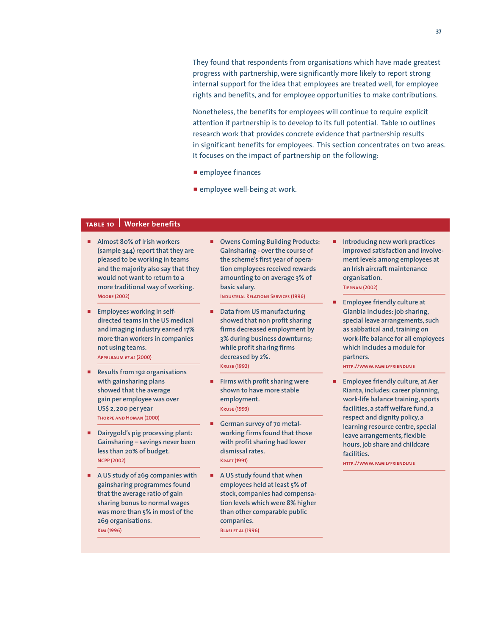They found that respondents from organisations which have made greatest progress with partnership, were significantly more likely to report strong internal support for the idea that employees are treated well, for employee rights and benefits, and for employee opportunities to make contributions.

Nonetheless, the benefits for employees will continue to require explicit attention if partnership is to develop to its full potential. Table 10 outlines research work that provides concrete evidence that partnership results in significant benefits for employees. This section concentrates on two areas. It focuses on the impact of partnership on the following:

- $\blacksquare$  employee finances
- $\blacksquare$  employee well-being at work.

### **table 10 Worker benefits**

- p **Almost 80% of Irish workers (sample 344) report that they are pleased to be working in teams and the majority also say that they would not want to return to a more traditional way of working. Moore (2002)**
- **Employees working in selfdirected teams in the US medical and imaging industry earned 17% more than workers in companies not using teams. Appelbaum** *et al* **(2000)**
- p **Results from 192 organisations with gainsharing plans showed that the average gain per employee was over US\$ 2, 200 per year Thorpe and Homan (2000)**
- p **Dairygold's pig processing plant: Gainsharing – savings never been less than 20% of budget. NCPP (2002)**
- p **A US study of 269 companies with gainsharing programmes found that the average ratio of gain sharing bonus to normal wages was more than 5% in most of the 269 organisations. Kim (1996)**
- **P** Owens Corning Building Products: **Gainsharing - over the course of the scheme's first year of operation employees received rewards amounting to on average 3% of basic salary. Industrial Relations Services (1996)**
- p **Data from US manufacturing showed that non profit sharing firms decreased employment by 3% during business downturns; while profit sharing firms decreased by 2%. Kruse (1992)**
- p **Firms with profit sharing were shown to have more stable employment. Kruse (1993)**
- German survey of 70 metal**working firms found that those with profit sharing had lower dismissal rates. Kraft (1991)**
- p **A US study found that when employees held at least 5% of stock, companies had compensation levels which were 8% higher than other comparable public companies. Blasi et al (1996)**
- p **Introducing new work practices improved satisfaction and involvement levels among employees at an Irish aircraft maintenance organisation. Tiernan (2002)**
- p **Employee friendly culture at Glanbia includes: job sharing, special leave arrangements, such as sabbatical and,training on work-life balance for all employees which includes a module for partners.**

**http://www. familyfriendly.ie**

p **Employee friendly culture, at Aer Rianta, includes: career planning, work-life balance training, sports facilities, a staff welfare fund, a respect and dignity policy, a learning resource centre, special leave arrangements,flexible hours, job share and childcare facilities.**

**http://www. familyfriendly.ie**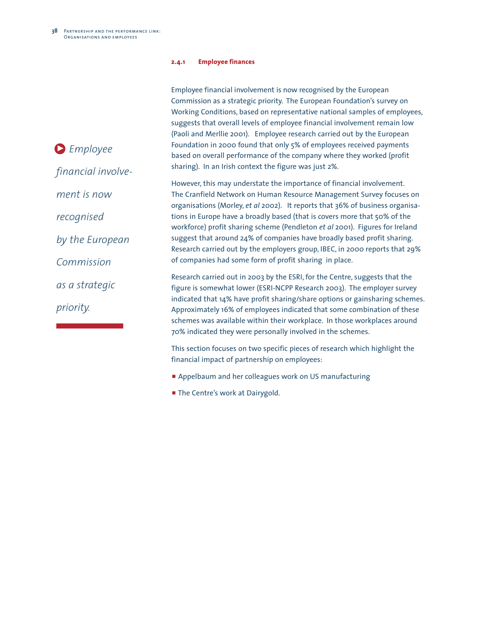#### **2.4.1 Employee finances**

|                    | Employee financial involvement is now recognised by the European                                                                                          |
|--------------------|-----------------------------------------------------------------------------------------------------------------------------------------------------------|
|                    | Commission as a strategic priority. The European Foundation's survey on                                                                                   |
|                    | Working Conditions, based on representative national samples of employees,                                                                                |
|                    | suggests that overall levels of employee financial involvement remain low                                                                                 |
|                    | (Paoli and Merllie 2001). Employee research carried out by the European                                                                                   |
| $\sum$ Employee    | Foundation in 2000 found that only 5% of employees received payments                                                                                      |
|                    | based on overall performance of the company where they worked (profit                                                                                     |
| financial involve- | sharing). In an Irish context the figure was just 2%.                                                                                                     |
|                    | However, this may understate the importance of financial involvement.                                                                                     |
| ment is now        | The Cranfield Network on Human Resource Management Survey focuses on<br>organisations (Morley, et al 2002). It reports that 36% of business organisa-     |
| recognised         | tions in Europe have a broadly based (that is covers more that 50% of the<br>workforce) profit sharing scheme (Pendleton et al 2001). Figures for Ireland |
| by the European    | suggest that around 24% of companies have broadly based profit sharing.<br>Research carried out by the employers group, IBEC, in 2000 reports that 29%    |
| Commission         | of companies had some form of profit sharing in place.                                                                                                    |
| as a strategic     | Research carried out in 2003 by the ESRI, for the Centre, suggests that the                                                                               |
|                    | figure is somewhat lower (ESRI-NCPP Research 2003). The employer survey                                                                                   |
|                    | indicated that 14% have profit sharing/share options or gainsharing schemes.                                                                              |
| priority.          | Approximately 16% of employees indicated that some combination of these                                                                                   |

This section focuses on two specific pieces of research which highlight the financial impact of partnership on employees:

schemes was available within their workplace. In those workplaces around

**Appelbaum and her colleagues work on US manufacturing** 

70% indicated they were personally involved in the schemes.

**The Centre's work at Dairygold.**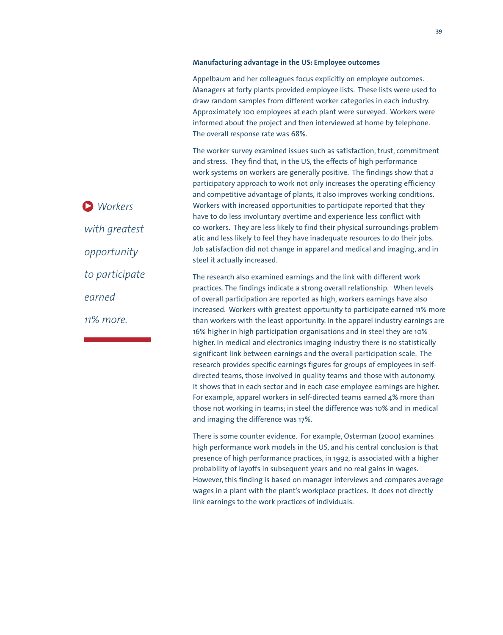#### **Manufacturing advantage in the US: Employee outcomes**

Appelbaum and her colleagues focus explicitly on employee outcomes. Managers at forty plants provided employee lists. These lists were used to draw random samples from different worker categories in each industry. Approximately 100 employees at each plant were surveyed. Workers were informed about the project and then interviewed at home by telephone. The overall response rate was 68%.

The worker survey examined issues such as satisfaction, trust, commitment and stress. They find that, in the US, the effects of high performance work systems on workers are generally positive. The findings show that a participatory approach to work not only increases the operating efficiency and competitive advantage of plants, it also improves working conditions. Workers with increased opportunities to participate reported that they have to do less involuntary overtime and experience less conflict with co-workers. They are less likely to find their physical surroundings problematic and less likely to feel they have inadequate resources to do their jobs. Job satisfaction did not change in apparel and medical and imaging, and in steel it actually increased.

The research also examined earnings and the link with different work practices. The findings indicate a strong overall relationship. When levels of overall participation are reported as high, workers earnings have also increased. Workers with greatest opportunity to participate earned 11% more than workers with the least opportunity. In the apparel industry earnings are 16% higher in high participation organisations and in steel they are 10% higher. In medical and electronics imaging industry there is no statistically significant link between earnings and the overall participation scale. The research provides specific earnings figures for groups of employees in selfdirected teams, those involved in quality teams and those with autonomy. It shows that in each sector and in each case employee earnings are higher. For example, apparel workers in self-directed teams earned 4% more than those not working in teams; in steel the difference was 10% and in medical and imaging the difference was 17%.

There is some counter evidence. For example, Osterman (2000) examines high performance work models in the US, and his central conclusion is that presence of high performance practices, in 1992, is associated with a higher probability of layoffs in subsequent years and no real gains in wages. However, this finding is based on manager interviews and compares average wages in a plant with the plant's workplace practices. It does not directly link earnings to the work practices of individuals.

**D** Workers *with greatest opportunity to participate earned 11% more.*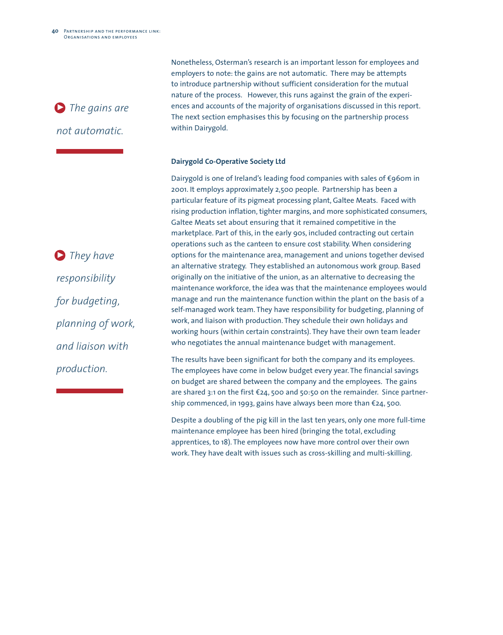

Nonetheless, Osterman's research is an important lesson for employees and employers to note: the gains are not automatic. There may be attempts to introduce partnership without sufficient consideration for the mutual nature of the process. However, this runs against the grain of the experiences and accounts of the majority of organisations discussed in this report. The next section emphasises this by focusing on the partnership process within Dairygold.

#### **Dairygold Co-Operative Society Ltd**

Dairygold is one of Ireland's leading food companies with sales of  $\epsilon$ 960m in 2001. It employs approximately 2,500 people. Partnership has been a particular feature of its pigmeat processing plant, Galtee Meats. Faced with rising production inflation, tighter margins, and more sophisticated consumers, Galtee Meats set about ensuring that it remained competitive in the marketplace. Part of this, in the early 90s, included contracting out certain operations such as the canteen to ensure cost stability.When considering options for the maintenance area, management and unions together devised an alternative strategy. They established an autonomous work group. Based originally on the initiative of the union, as an alternative to decreasing the maintenance workforce, the idea was that the maintenance employees would manage and run the maintenance function within the plant on the basis of a self-managed work team. They have responsibility for budgeting, planning of work, and liaison with production. They schedule their own holidays and working hours (within certain constraints). They have their own team leader who negotiates the annual maintenance budget with management.

The results have been significant for both the company and its employees. The employees have come in below budget every year. The financial savings on budget are shared between the company and the employees. The gains are shared 3:1 on the first  $E_2$ 4, 500 and 50:50 on the remainder. Since partnership commenced, in 1993, gains have always been more than  $\epsilon$ 24, 500.

Despite a doubling of the pig kill in the last ten years, only one more full-time maintenance employee has been hired (bringing the total, excluding apprentices, to 18). The employees now have more control over their own work. They have dealt with issues such as cross-skilling and multi-skilling.

*They have* 3 *responsibility for budgeting, planning of work, and liaison with production.*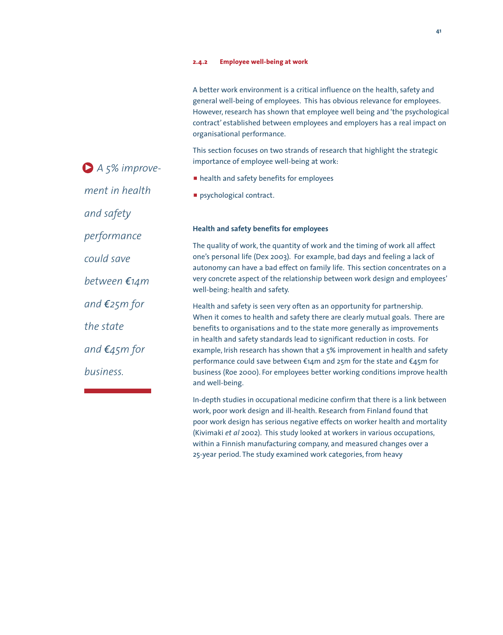#### **2.4.2 Employee well-being at work**

| A better work environment is a critical influence on the health, safety and |
|-----------------------------------------------------------------------------|
| general well-being of employees. This has obvious relevance for employees.  |
| However, research has shown that employee well being and 'the psychological |
| contract' established between employees and employers has a real impact on  |
| organisational performance.                                                 |
|                                                                             |

This section focuses on two strands of research that highlight the strategic importance of employee well-being at work:

- **n** health and safety benefits for employees
- psychological contract.

#### **Health and safety benefits for employees**

The quality of work, the quantity of work and the timing of work all affect one's personal life (Dex 2003). For example, bad days and feeling a lack of autonomy can have a bad effect on family life. This section concentrates on a very concrete aspect of the relationship between work design and employees' well-being: health and safety.

Health and safety is seen very often as an opportunity for partnership. When it comes to health and safety there are clearly mutual goals. There are benefits to organisations and to the state more generally as improvements in health and safety standards lead to significant reduction in costs. For example, Irish research has shown that a 5% improvement in health and safety performance could save between  $\epsilon_1$ 4m and 25m for the state and  $\epsilon_4$ 5m for business (Roe 2000). For employees better working conditions improve health and well-being.

In-depth studies in occupational medicine confirm that there is a link between work, poor work design and ill-health. Research from Finland found that poor work design has serious negative effects on worker health and mortality (Kivimaki *et al* 2002). This study looked at workers in various occupations, within a Finnish manufacturing company, and measured changes over a 25-year period. The study examined work categories, from heavy

*A 5% improve-*3 *ment in health and safety performance could save between* €14m  $and \, \epsilon$ 25*m* for *the state*   $and \textit{£45m}$  for *business.*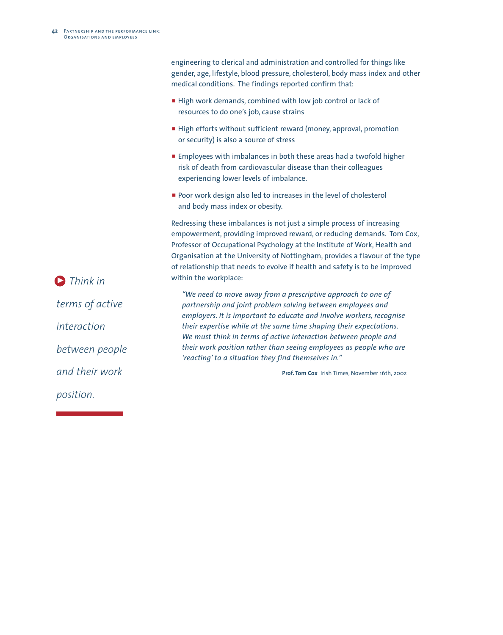engineering to clerical and administration and controlled for things like gender, age, lifestyle, blood pressure, cholesterol, body mass index and other medical conditions. The findings reported confirm that:

- High work demands, combined with low job control or lack of resources to do one's job, cause strains
- **High efforts without sufficient reward (money, approval, promotion** or security) is also a source of stress
- **Employees with imbalances in both these areas had a twofold higher** risk of death from cardiovascular disease than their colleagues experiencing lower levels of imbalance.
- **Poor work design also led to increases in the level of cholesterol** and body mass index or obesity.

Redressing these imbalances is not just a simple process of increasing empowerment, providing improved reward, or reducing demands. Tom Cox, Professor of Occupational Psychology at the Institute of Work, Health and Organisation at the University of Nottingham, provides a flavour of the type of relationship that needs to evolve if health and safety is to be improved within the workplace:

*"We need to move away from a prescriptive approach to one of partnership and joint problem solving between employees and employers. It is important to educate and involve workers, recognise their expertise while at the same time shaping their expectations. We must think in terms of active interaction between people and their work position rather than seeing employees as people who are 'reacting' to a situation they find themselves in.''*

**Prof. Tom Cox** Irish Times, November 16th, 2002

**D** Think in *terms of active interaction between people and their work position.*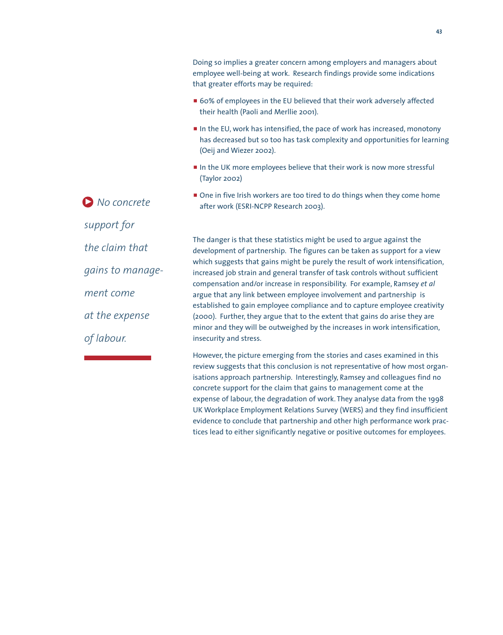that greater efforts may be required: ■ 60% of employees in the EU believed that their work adversely affected their health (Paoli and Merllie 2001). In the EU, work has intensified, the pace of work has increased, monotony has decreased but so too has task complexity and opportunities for learning (Oeij and Wiezer 2002). In the UK more employees believe that their work is now more stressful (Taylor 2002) • One in five Irish workers are too tired to do things when they come home after work (ESRI-NCPP Research 2003). The danger is that these statistics might be used to argue against the development of partnership. The figures can be taken as support for a view which suggests that gains might be purely the result of work intensification, increased job strain and general transfer of task controls without sufficient compensation and/or increase in responsibility. For example, Ramsey *et al* argue that any link between employee involvement and partnership is established to gain employee compliance and to capture employee creativity (2000). Further, they argue that to the extent that gains do arise they are minor and they will be outweighed by the increases in work intensification, insecurity and stress. *No concrete* 3*support for the claim that gains to management come at the expense of labour.*

> However, the picture emerging from the stories and cases examined in this review suggests that this conclusion is not representative of how most organisations approach partnership. Interestingly, Ramsey and colleagues find no concrete support for the claim that gains to management come at the expense of labour, the degradation of work. They analyse data from the 1998 UK Workplace Employment Relations Survey (WERS) and they find insufficient evidence to conclude that partnership and other high performance work practices lead to either significantly negative or positive outcomes for employees.

Doing so implies a greater concern among employers and managers about employee well-being at work. Research findings provide some indications

**43**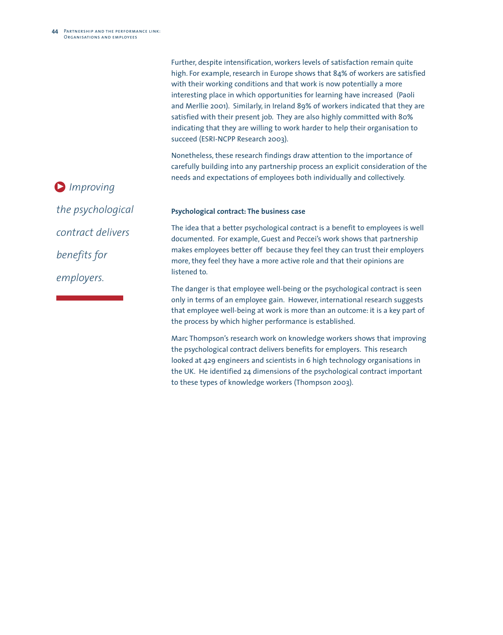Further, despite intensification, workers levels of satisfaction remain quite high. For example, research in Europe shows that 84% of workers are satisfied with their working conditions and that work is now potentially a more interesting place in which opportunities for learning have increased (Paoli and Merllie 2001). Similarly, in Ireland 89% of workers indicated that they are satisfied with their present job. They are also highly committed with 80% indicating that they are willing to work harder to help their organisation to succeed (ESRI-NCPP Research 2003).

Nonetheless, these research findings draw attention to the importance of carefully building into any partnership process an explicit consideration of the needs and expectations of employees both individually and collectively.

**D** Improving *the psychological contract delivers benefits for employers.*

#### **Psychological contract: The business case**

The idea that a better psychological contract is a benefit to employees is well documented. For example, Guest and Peccei's work shows that partnership makes employees better off because they feel they can trust their employers more, they feel they have a more active role and that their opinions are listened to.

The danger is that employee well-being or the psychological contract is seen only in terms of an employee gain. However, international research suggests that employee well-being at work is more than an outcome: it is a key part of the process by which higher performance is established.

Marc Thompson's research work on knowledge workers shows that improving the psychological contract delivers benefits for employers. This research looked at 429 engineers and scientists in 6 high technology organisations in the UK. He identified 24 dimensions of the psychological contract important to these types of knowledge workers (Thompson 2003).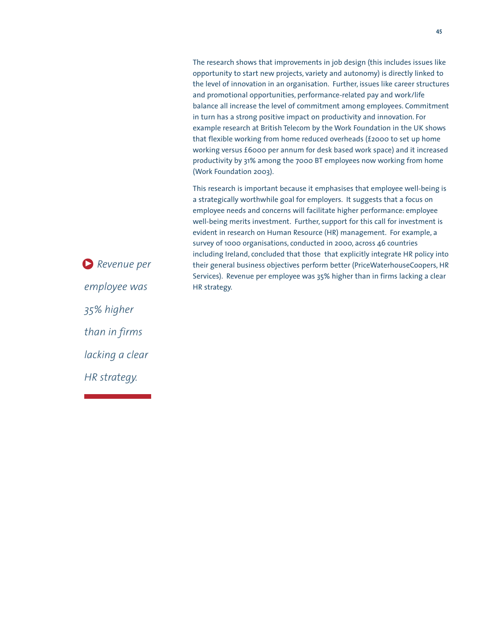The research shows that improvements in job design (this includes issues like opportunity to start new projects, variety and autonomy) is directly linked to the level of innovation in an organisation. Further, issues like career structures and promotional opportunities, performance-related pay and work/life balance all increase the level of commitment among employees. Commitment in turn has a strong positive impact on productivity and innovation. For example research at British Telecom by the Work Foundation in the UK shows that flexible working from home reduced overheads (£2000 to set up home working versus £6000 per annum for desk based work space) and it increased productivity by 31% among the 7000 BT employees now working from home (Work Foundation 2003).

This research is important because it emphasises that employee well-being is a strategically worthwhile goal for employers. It suggests that a focus on employee needs and concerns will facilitate higher performance: employee well-being merits investment. Further, support for this call for investment is evident in research on Human Resource (HR) management. For example, a survey of 1000 organisations, conducted in 2000, across 46 countries including Ireland, concluded that those that explicitly integrate HR policy into their general business objectives perform better (PriceWaterhouseCoopers, HR Services). Revenue per employee was 35% higher than in firms lacking a clear HR strategy.

*Revenue per* 3*employee was 35% higher than in firms lacking a clear HR strategy.*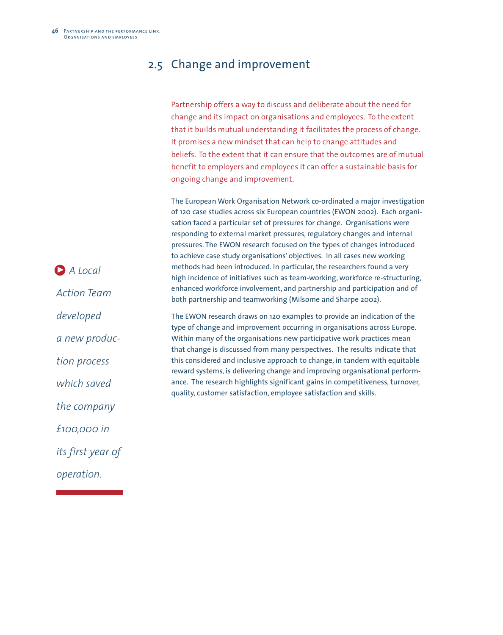## 2.5 Change and improvement

|                                          | Partnership offers a way to discuss and deliberate about the need for<br>change and its impact on organisations and employees. To the extent<br>that it builds mutual understanding it facilitates the process of change.<br>It promises a new mindset that can help to change attitudes and<br>beliefs. To the extent that it can ensure that the outcomes are of mutual<br>benefit to employers and employees it can offer a sustainable basis for<br>ongoing change and improvement.                                                                                                                                                                                                                                                                                           |
|------------------------------------------|-----------------------------------------------------------------------------------------------------------------------------------------------------------------------------------------------------------------------------------------------------------------------------------------------------------------------------------------------------------------------------------------------------------------------------------------------------------------------------------------------------------------------------------------------------------------------------------------------------------------------------------------------------------------------------------------------------------------------------------------------------------------------------------|
| $\bigcirc$ A Local<br><b>Action Team</b> | The European Work Organisation Network co-ordinated a major investigation<br>of 120 case studies across six European countries (EWON 2002). Each organi-<br>sation faced a particular set of pressures for change. Organisations were<br>responding to external market pressures, regulatory changes and internal<br>pressures. The EWON research focused on the types of changes introduced<br>to achieve case study organisations' objectives. In all cases new working<br>methods had been introduced. In particular, the researchers found a very<br>high incidence of initiatives such as team-working, workforce re-structuring,<br>enhanced workforce involvement, and partnership and participation and of<br>both partnership and teamworking (Milsome and Sharpe 2002). |
| developed                                | The EWON research draws on 120 examples to provide an indication of the                                                                                                                                                                                                                                                                                                                                                                                                                                                                                                                                                                                                                                                                                                           |
| a new produc-                            | type of change and improvement occurring in organisations across Europe.<br>Within many of the organisations new participative work practices mean<br>that change is discussed from many perspectives. The results indicate that                                                                                                                                                                                                                                                                                                                                                                                                                                                                                                                                                  |
| tion process                             | this considered and inclusive approach to change, in tandem with equitable<br>reward systems, is delivering change and improving organisational perform-                                                                                                                                                                                                                                                                                                                                                                                                                                                                                                                                                                                                                          |
| which saved                              | ance. The research highlights significant gains in competitiveness, turnover,<br>quality, customer satisfaction, employee satisfaction and skills.                                                                                                                                                                                                                                                                                                                                                                                                                                                                                                                                                                                                                                |
| the company                              |                                                                                                                                                                                                                                                                                                                                                                                                                                                                                                                                                                                                                                                                                                                                                                                   |
| £100,000 in                              |                                                                                                                                                                                                                                                                                                                                                                                                                                                                                                                                                                                                                                                                                                                                                                                   |
| its first year of                        |                                                                                                                                                                                                                                                                                                                                                                                                                                                                                                                                                                                                                                                                                                                                                                                   |

*operation.*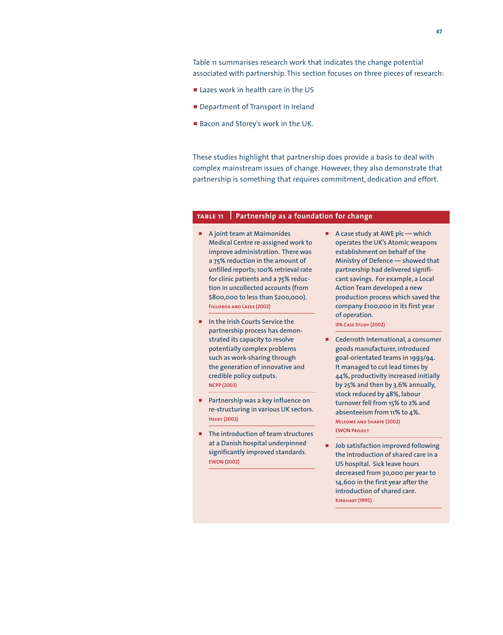Table 11 summarises research work that indicates the change potential associated with partnership. This section focuses on three pieces of research:

- **Example 2 Lazes work in health care in the US**
- **P** Department of Transport in Ireland
- Bacon and Storey's work in the UK.

These studies highlight that partnership does provide a basis to deal with complex mainstream issues of change. However, they also demonstrate that partnership is something that requires commitment, dedication and effort.

#### **table11 Partnership as a foundation for change**

- p **A joint team at Maimonides Medical Centre re-assigned work to improve administration. There was a 75% reduction in the amount of unfilled reports;100% retrieval rate for clinic patients and a 75% reduction in uncollected accounts (from \$800,000 to less than \$200,000). Figueroa and Lazes (2002)**
- $\blacksquare$  In the Irish Courts Service the **partnership process has demonstrated its capacity to resolve potentially complex problems such as work-sharing through the generation of innovative and credible policy outputs. NCPP (2003)**
- **Partnership was a key influence on re-structuring in various UK sectors. Heery (2002)**
- **F** The introduction of team structures **at a Danish hospital underpinned significantly improved standards. EWON (2002)**

p **A case study at AWE plc — which operates the UK's Atomic weapons establishment on behalf of the Ministry of Defence — showed that partnership had delivered significant savings. For example, a Local Action Team developed a new production process which saved the company £100,000 in its first year of operation.**

**IPA Case Study (2002)**

- p **Cederroth International, a consumer goods manufacturer, introduced goal-orientated teams in 1993/94. It managed to cut lead times by 44%, productivity increased initially by 25% and then by 3.6% annually, stock reduced by 48%, labour turnover fell from 15% to 2% and absenteeism from 11% to 4%. Milsome and Sharpe (2002) EWON Project**
- $\blacksquare$  Job satisfaction improved following **the introduction of shared care in a US hospital. Sick leave hours decreased from 30,000 per year to 14,600 in the first year after the introduction of shared care. Kirkhart (1995)**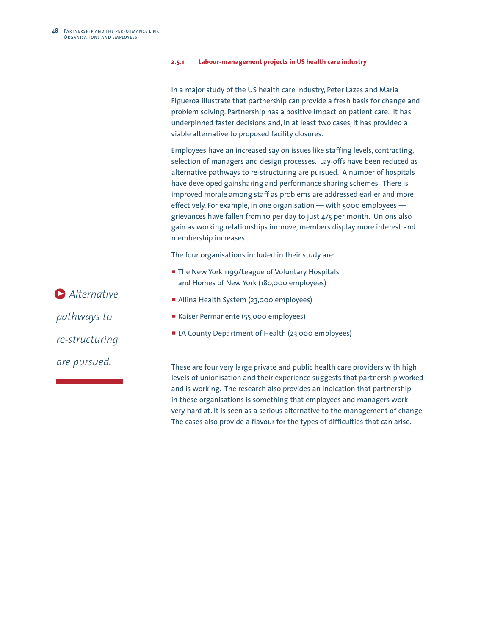#### **2.5.1 Labour-management projects in US health care industry**

In a major study of the US health care industry, Peter Lazes and Maria Figueroa illustrate that partnership can provide a fresh basis for change and problem solving. Partnership has a positive impact on patient care. It has underpinned faster decisions and, in at least two cases, it has provided a viable alternative to proposed facility closures.

Employees have an increased say on issues like staffing levels, contracting, selection of managers and design processes. Lay-offs have been reduced as alternative pathways to re-structuring are pursued. A number of hospitals have developed gainsharing and performance sharing schemes. There is improved morale among staff as problems are addressed earlier and more effectively. For example, in one organisation — with 5000 employees grievances have fallen from 10 per day to just 4/5 per month. Unions also gain as working relationships improve, members display more interest and membership increases.

The four organisations included in their study are:

- **The New York 1199/League of Voluntary Hospitals** and Homes of New York (180,000 employees)
- **Allina Health System (23,000 employees)**
- p Kaiser Permanente (55,000 employees)
- **Example 23,000 EX LA County Department of Health (23,000 employees)**

These are four very large private and public health care providers with high levels of unionisation and their experience suggests that partnership worked and is working. The research also provides an indication that partnership in these organisations is something that employees and managers work very hard at. It is seen as a serious alternative to the management of change. The cases also provide a flavour for the types of difficulties that can arise.

*Alternative* 3*pathways to re-structuring are pursued.*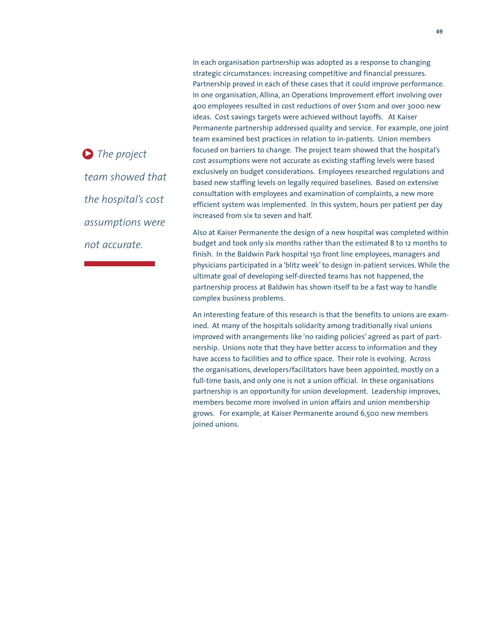*The project* 3*team showed that the hospital's cost assumptions were not accurate.*

In each organisation partnership was adopted as a response to changing strategic circumstances: increasing competitive and financial pressures. Partnership proved in each of these cases that it could improve performance. In one organisation, Allina, an Operations Improvement effort involving over 400 employees resulted in cost reductions of over \$10m and over 3000 new ideas. Cost savings targets were achieved without layoffs. At Kaiser Permanente partnership addressed quality and service. For example, one joint team examined best practices in relation to in-patients. Union members focused on barriers to change. The project team showed that the hospital's cost assumptions were not accurate as existing staffing levels were based exclusively on budget considerations. Employees researched regulations and based new staffing levels on legally required baselines. Based on extensive consultation with employees and examination of complaints, a new more efficient system was implemented. In this system, hours per patient per day increased from six to seven and half.

Also at Kaiser Permanente the design of a new hospital was completed within budget and took only six months rather than the estimated 8 to 12 months to finish. In the Baldwin Park hospital 150 front line employees, managers and physicians participated in a 'blitz week'to design in-patient services.While the ultimate goal of developing self-directed teams has not happened, the partnership process at Baldwin has shown itself to be a fast way to handle complex business problems.

An interesting feature of this research is that the benefits to unions are examined. At many of the hospitals solidarity among traditionally rival unions improved with arrangements like 'no raiding policies' agreed as part of partnership. Unions note that they have better access to information and they have access to facilities and to office space. Their role is evolving. Across the organisations, developers/facilitators have been appointed, mostly on a full-time basis, and only one is not a union official. In these organisations partnership is an opportunity for union development. Leadership improves, members become more involved in union affairs and union membership grows. For example, at Kaiser Permanente around 6,500 new members joined unions.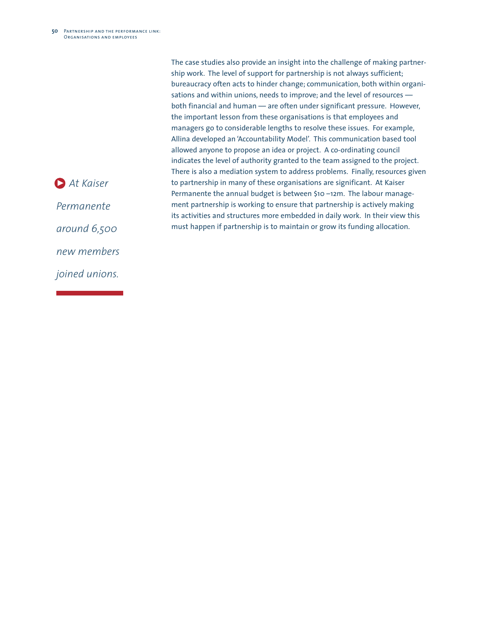The case studies also provide an insight into the challenge of making partnership work. The level of support for partnership is not always sufficient; bureaucracy often acts to hinder change; communication, both within organisations and within unions, needs to improve; and the level of resources both financial and human — are often under significant pressure. However, the important lesson from these organisations is that employees and managers go to considerable lengths to resolve these issues. For example, Allina developed an 'Accountability Model'. This communication based tool allowed anyone to propose an idea or project. A co-ordinating council indicates the level of authority granted to the team assigned to the project. There is also a mediation system to address problems. Finally, resources given to partnership in many of these organisations are significant. At Kaiser Permanente the annual budget is between \$10 –12m. The labour management partnership is working to ensure that partnership is actively making its activities and structures more embedded in daily work. In their view this must happen if partnership is to maintain or grow its funding allocation.

*At Kaiser* 3

*Permanente*

*around 6,500*

*new members*

*joined unions.*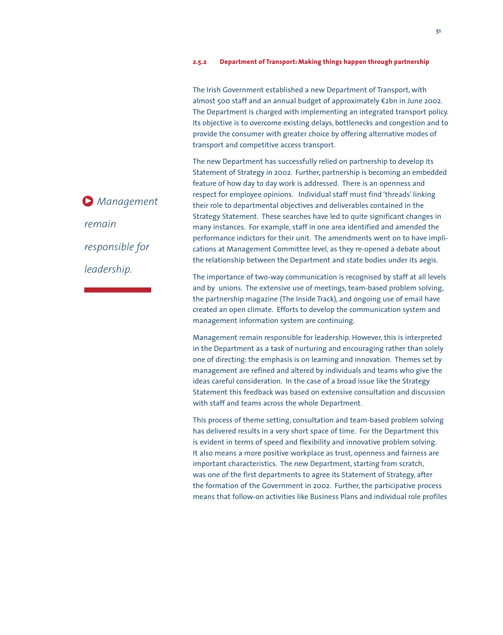#### **2.5.2 Department of Transport: Making things happen through partnership**

The Irish Government established a new Department of Transport, with almost 500 staff and an annual budget of approximately €2bn in June 2002. The Department is charged with implementing an integrated transport policy. Its objective is to overcome existing delays, bottlenecks and congestion and to provide the consumer with greater choice by offering alternative modes of transport and competitive access transport.

The new Department has successfully relied on partnership to develop its Statement of Strategy in 2002. Further, partnership is becoming an embedded feature of how day to day work is addressed. There is an openness and respect for employee opinions. Individual staff must find 'threads' linking their role to departmental objectives and deliverables contained in the Strategy Statement. These searches have led to quite significant changes in many instances. For example, staff in one area identified and amended the performance indictors for their unit. The amendments went on to have implications at Management Committee level, as they re-opened a debate about the relationship between the Department and state bodies under its aegis.

The importance of two-way communication is recognised by staff at all levels and by unions. The extensive use of meetings, team-based problem solving, the partnership magazine (The Inside Track), and ongoing use of email have created an open climate. Efforts to develop the communication system and management information system are continuing.

Management remain responsible for leadership. However, this is interpreted in the Department as a task of nurturing and encouraging rather than solely one of directing: the emphasis is on learning and innovation. Themes set by management are refined and altered by individuals and teams who give the ideas careful consideration. In the case of a broad issue like the Strategy Statement this feedback was based on extensive consultation and discussion with staff and teams across the whole Department.

This process of theme setting, consultation and team-based problem solving has delivered results in a very short space of time. For the Department this is evident in terms of speed and flexibility and innovative problem solving. It also means a more positive workplace as trust, openness and fairness are important characteristics. The new Department, starting from scratch, was one of the first departments to agree its Statement of Strategy, after the formation of the Government in 2002. Further, the participative process means that follow-on activities like Business Plans and individual role profiles

*Management* 3 *remain responsible for leadership.*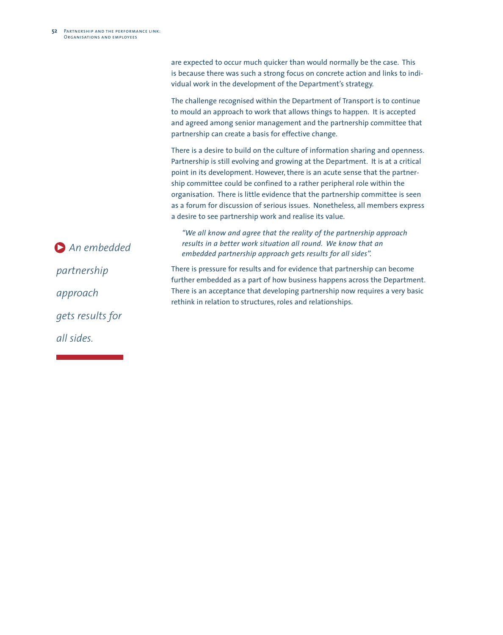are expected to occur much quicker than would normally be the case. This is because there was such a strong focus on concrete action and links to individual work in the development of the Department's strategy.

The challenge recognised within the Department of Transport is to continue to mould an approach to work that allows things to happen. It is accepted and agreed among senior management and the partnership committee that partnership can create a basis for effective change.

There is a desire to build on the culture of information sharing and openness. Partnership is still evolving and growing at the Department. It is at a critical point in its development. However, there is an acute sense that the partnership committee could be confined to a rather peripheral role within the organisation. There is little evidence that the partnership committee is seen as a forum for discussion of serious issues. Nonetheless, all members express a desire to see partnership work and realise its value.

*"We all know and agree that the reality of the partnership approach results in a better work situation all round. We know that an embedded partnership approach gets results for all sides''.*

There is pressure for results and for evidence that partnership can become further embedded as a part of how business happens across the Department. There is an acceptance that developing partnership now requires a very basic rethink in relation to structures, roles and relationships.

*An embedded* 3*partnership approach gets results for all sides.*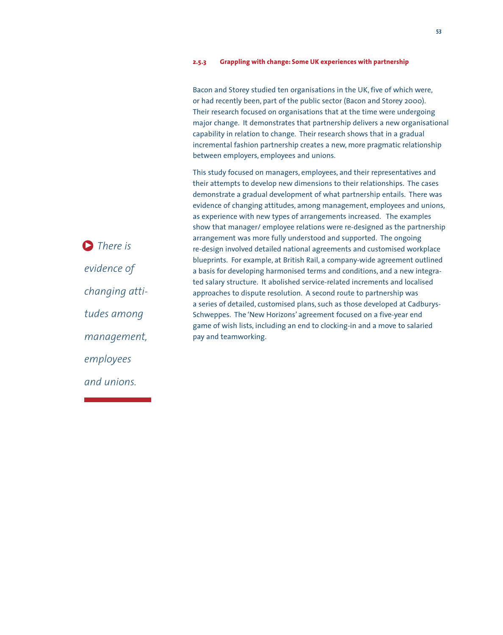#### **2.5.3 Grappling with change: Some UK experiences with partnership**

Bacon and Storey studied ten organisations in the UK, five of which were, or had recently been, part of the public sector (Bacon and Storey 2000). Their research focused on organisations that at the time were undergoing major change. It demonstrates that partnership delivers a new organisational capability in relation to change. Their research shows that in a gradual incremental fashion partnership creates a new, more pragmatic relationship between employers, employees and unions.

This study focused on managers, employees, and their representatives and their attempts to develop new dimensions to their relationships. The cases demonstrate a gradual development of what partnership entails. There was evidence of changing attitudes, among management, employees and unions, as experience with new types of arrangements increased. The examples show that manager/ employee relations were re-designed as the partnership arrangement was more fully understood and supported. The ongoing re-design involved detailed national agreements and customised workplace blueprints. For example, at British Rail, a company-wide agreement outlined a basis for developing harmonised terms and conditions, and a new integrated salary structure. It abolished service-related increments and localised approaches to dispute resolution. A second route to partnership was a series of detailed, customised plans, such as those developed at Cadburys-Schweppes. The 'New Horizons' agreement focused on a five-year end game of wish lists, including an end to clocking-in and a move to salaried pay and teamworking.

*There is* 3*evidence of changing attitudes among management, employees and unions.*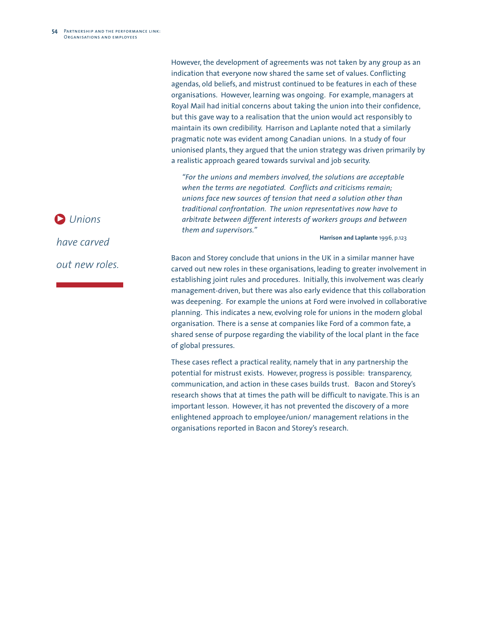However, the development of agreements was not taken by any group as an indication that everyone now shared the same set of values. Conflicting agendas, old beliefs, and mistrust continued to be features in each of these organisations. However, learning was ongoing. For example, managers at Royal Mail had initial concerns about taking the union into their confidence, but this gave way to a realisation that the union would act responsibly to maintain its own credibility. Harrison and Laplante noted that a similarly pragmatic note was evident among Canadian unions. In a study of four unionised plants, they argued that the union strategy was driven primarily by a realistic approach geared towards survival and job security.

*"For the unions and members involved, the solutions are acceptable when the terms are negotiated. Conflicts and criticisms remain; unions face new sources of tension that need a solution other than traditional confrontation. The union representatives now have to arbitrate between different interests of workers groups and between them and supervisors."*

**Harrison and Laplante** 1996, p.123

Bacon and Storey conclude that unions in the UK in a similar manner have carved out new roles in these organisations, leading to greater involvement in establishing joint rules and procedures. Initially, this involvement was clearly management-driven, but there was also early evidence that this collaboration was deepening. For example the unions at Ford were involved in collaborative planning. This indicates a new, evolving role for unions in the modern global organisation. There is a sense at companies like Ford of a common fate, a shared sense of purpose regarding the viability of the local plant in the face of global pressures.

These cases reflect a practical reality, namely that in any partnership the potential for mistrust exists. However, progress is possible: transparency, communication, and action in these cases builds trust. Bacon and Storey's research shows that at times the path will be difficult to navigate. This is an important lesson. However, it has not prevented the discovery of a more enlightened approach to employee/union/ management relations in the organisations reported in Bacon and Storey's research.

*Unions*  3*have carved out new roles.*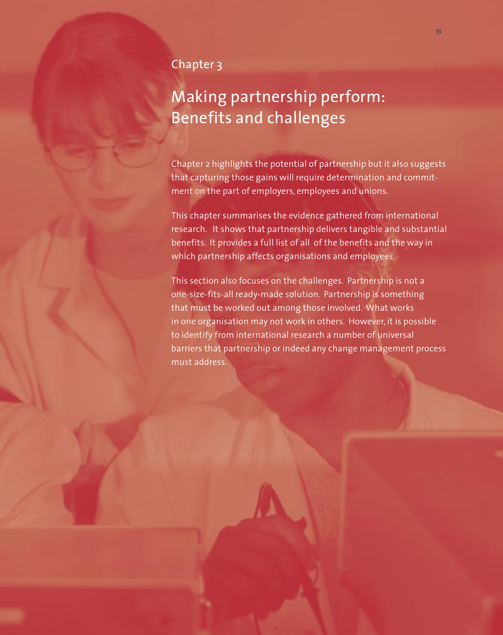### Chapter 3

# Making partnership perform: Benefits and challenges

Chapter 2 highlights the potential of partnership but it also suggests that capturing those gains will require determination and commitment on the part of employers, employees and unions.

This chapter summarises the evidence gathered from international research. It shows that partnership delivers tangible and substantial benefits. It provides a full list of all of the benefits and the way in which partnership affects organisations and employees.

This section also focuses on the challenges. Partnership is not a one-size-fits-all ready-made solution. Partnership is something that must be worked out among those involved. What works in one organisation may not work in others. However, it is possible to identify from international research a number of universal barriers that partnership or indeed any change management process must address.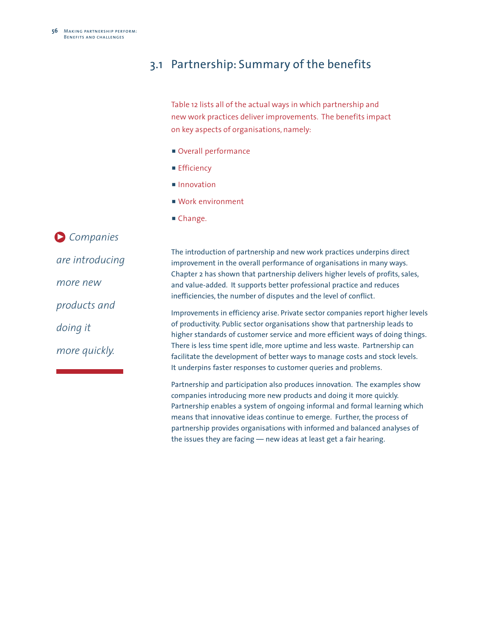### 3.1 Partnership: Summary of the benefits

Table 12 lists all of the actual ways in which partnership and new work practices deliver improvements. The benefits impact on key aspects of organisations, namely:

- **Overall performance**
- **Efficiency**
- **n** Innovation
- Work environment
- Change.

*Companies*  3 *are introducing more new products and doing it more quickly.*

The introduction of partnership and new work practices underpins direct improvement in the overall performance of organisations in many ways. Chapter 2 has shown that partnership delivers higher levels of profits, sales, and value-added. It supports better professional practice and reduces inefficiencies, the number of disputes and the level of conflict.

Improvements in efficiency arise. Private sector companies report higher levels of productivity. Public sector organisations show that partnership leads to higher standards of customer service and more efficient ways of doing things. There is less time spent idle, more uptime and less waste. Partnership can facilitate the development of better ways to manage costs and stock levels. It underpins faster responses to customer queries and problems.

Partnership and participation also produces innovation. The examples show companies introducing more new products and doing it more quickly. Partnership enables a system of ongoing informal and formal learning which means that innovative ideas continue to emerge. Further, the process of partnership provides organisations with informed and balanced analyses of the issues they are facing — new ideas at least get a fair hearing.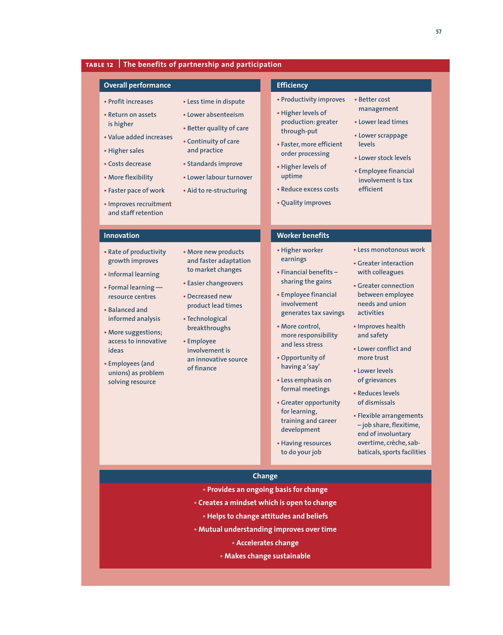### **table 12 The benefits of partnership and participation**

#### **Overall performance**

**• Return on assets is higher**

**• Profit increases**

- **• Value added increases**
- **• Higher sales**
- **• Costs decrease**
- **• More flexibility**
- 

**• Faster pace of work**

- **• Lower absenteeism**
	- **• Better quality of care**

**• Less time in dispute**

- **• Continuity of care and practice**
- **• Standards improve**
- **• Lower labour turnover**
- **• Aid to re-structuring**

#### **• Improves recruitment and staff retention**

#### **Innovation**

- **• Rate of productivity growth improves**
- **• Informal learning**
- **• Formal learning resource centres**
- **• Balanced and informed analysis**
- **• More suggestions; access to innovative ideas**
- **• Employees (and unions) as problem solving resource**
- **and faster adaptation**
- **• Easier changeovers**
- **• Decreased new product lead times**
- **• Technological breakthroughs**
- **involvement is an innovative source of finance**

### **Efficiency**

- **• Productivity improves**
- **• Higher levels of production: greater through-put**
- **• Faster, more efficient order processing**
- **• Higher levels of uptime**
- **• Reduce excess costs**
- **• Quality improves**
- **• Better cost management**
	- **• Lower lead times**
	- **• Lower scrappage levels**
	- **• Lower stock levels**
	- **• Employee financial involvement is tax efficient**

## **Worker benefits**

- **• Higher worker**
- **earnings • Financial benefits – sharing the gains**
- **• Employee financial involvement generates tax savings**
- **• More control, more responsibility and less stress**
- **• Opportunity of having a 'say'**
- **• Less emphasis on formal meetings**
- **• Greater opportunity for learning, training and career development**
- **• Having resources to do your job**
- **• Less monotonous work • Greater interaction**
- **with colleagues**
- **• Greater connection between employee needs and union activities**
- **• Improves health and safety**
- **• Lower conflict and more trust**
- **• Lower levels of grievances**
- **• Reduces levels of dismissals**
- **• Flexible arrangements – job share,flexitime, end of involuntary overtime, crèche, sabbaticals, sports facilities**

#### **Change**

- **• Provides an ongoing basis for change**
- **• Creates a mindset which is open to change**
	- **• Helps to change attitudes and beliefs**
- **• Mutual understanding improves over time**
	- **• Accelerates change**
	- **• Makes change sustainable**

- **• More new products to market changes**
- -
	- **• Employee**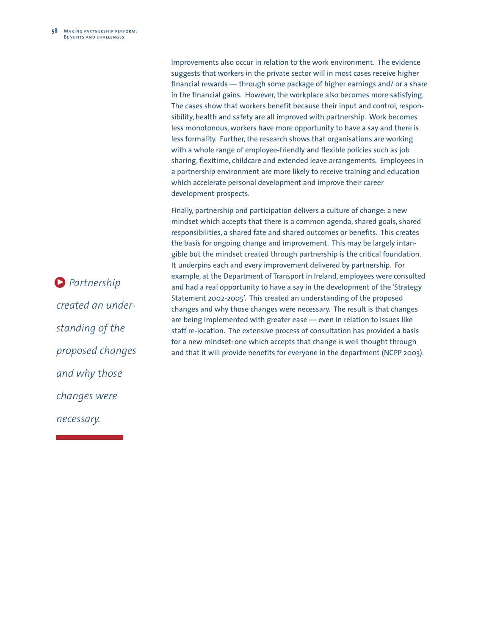Improvements also occur in relation to the work environment. The evidence suggests that workers in the private sector will in most cases receive higher financial rewards — through some package of higher earnings and/ or a share in the financial gains. However, the workplace also becomes more satisfying. The cases show that workers benefit because their input and control, responsibility, health and safety are all improved with partnership. Work becomes less monotonous, workers have more opportunity to have a say and there is less formality. Further, the research shows that organisations are working with a whole range of employee-friendly and flexible policies such as job sharing, flexitime, childcare and extended leave arrangements. Employees in a partnership environment are more likely to receive training and education which accelerate personal development and improve their career development prospects.

Finally, partnership and participation delivers a culture of change: a new mindset which accepts that there is a common agenda, shared goals, shared responsibilities, a shared fate and shared outcomes or benefits. This creates the basis for ongoing change and improvement. This may be largely intangible but the mindset created through partnership is the critical foundation. It underpins each and every improvement delivered by partnership. For example, at the Department of Transport in Ireland, employees were consulted and had a real opportunity to have a say in the development of the 'Strategy Statement 2002-2005'. This created an understanding of the proposed changes and why those changes were necessary. The result is that changes are being implemented with greater ease — even in relation to issues like staff re-location. The extensive process of consultation has provided a basis for a new mindset: one which accepts that change is well thought through and that it will provide benefits for everyone in the department (NCPP 2003).

*Partnership* 3 *created an understanding of the proposed changes and why those changes were necessary.*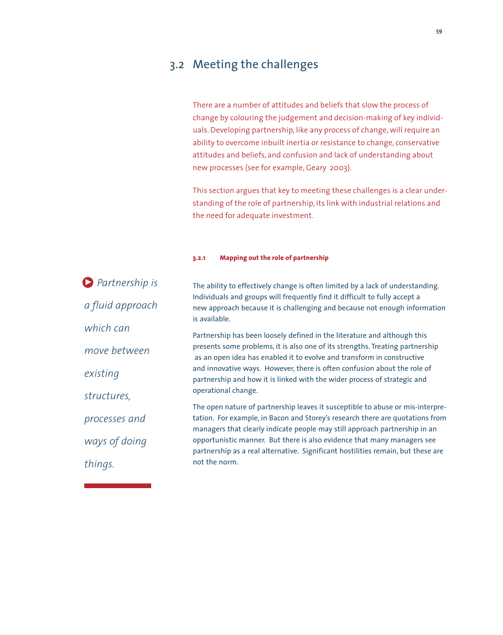### 3.2 Meeting the challenges

There are a number of attitudes and beliefs that slow the process of change by colouring the judgement and decision-making of key individuals. Developing partnership, like any process of change, will require an ability to overcome inbuilt inertia or resistance to change, conservative attitudes and beliefs, and confusion and lack of understanding about new processes (see for example, Geary 2003).

This section argues that key to meeting these challenges is a clear understanding of the role of partnership, its link with industrial relations and the need for adequate investment.

#### **3.2.1 Mapping out the role of partnership**

| <b>Partnership is</b> | The ability to effectively change is often limited by a lack of understanding.                                                                                                                                                                |
|-----------------------|-----------------------------------------------------------------------------------------------------------------------------------------------------------------------------------------------------------------------------------------------|
| a fluid approach      | Individuals and groups will frequently find it difficult to fully accept a<br>new approach because it is challenging and because not enough information<br>is available.                                                                      |
| which can             | Partnership has been loosely defined in the literature and although this                                                                                                                                                                      |
| move between          | presents some problems, it is also one of its strengths. Treating partnership<br>as an open idea has enabled it to evolve and transform in constructive                                                                                       |
| existing              | and innovative ways. However, there is often confusion about the role of<br>partnership and how it is linked with the wider process of strategic and                                                                                          |
| structures,           | operational change.                                                                                                                                                                                                                           |
| processes and         | The open nature of partnership leaves it susceptible to abuse or mis-interpre-<br>tation. For example, in Bacon and Storey's research there are quotations from<br>managers that clearly indicate people may still approach partnership in an |
| ways of doing         | opportunistic manner. But there is also evidence that many managers see<br>partnership as a real alternative. Significant hostilities remain, but these are<br>not the norm.                                                                  |
| things.               |                                                                                                                                                                                                                                               |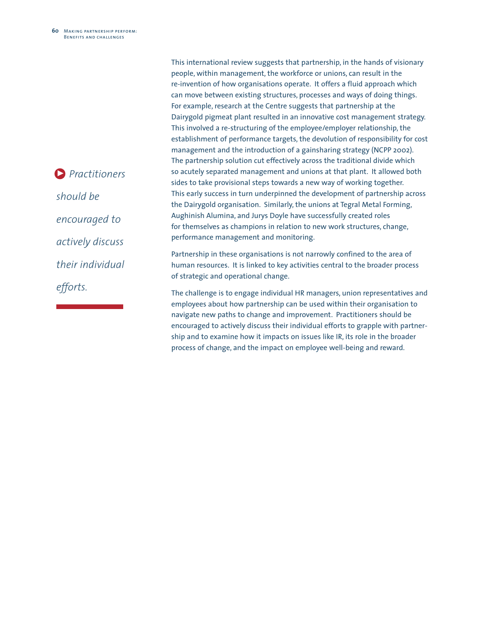*Practitioners* 3*should be encouraged to actively discuss their individual efforts.*

This international review suggests that partnership, in the hands of visionary people, within management, the workforce or unions, can result in the re-invention of how organisations operate. It offers a fluid approach which can move between existing structures, processes and ways of doing things. For example, research at the Centre suggests that partnership at the Dairygold pigmeat plant resulted in an innovative cost management strategy. This involved a re-structuring of the employee/employer relationship, the establishment of performance targets, the devolution of responsibility for cost management and the introduction of a gainsharing strategy (NCPP 2002). The partnership solution cut effectively across the traditional divide which so acutely separated management and unions at that plant. It allowed both sides to take provisional steps towards a new way of working together. This early success in turn underpinned the development of partnership across the Dairygold organisation. Similarly, the unions at Tegral Metal Forming, Aughinish Alumina, and Jurys Doyle have successfully created roles for themselves as champions in relation to new work structures, change, performance management and monitoring.

Partnership in these organisations is not narrowly confined to the area of human resources. It is linked to key activities central to the broader process of strategic and operational change.

The challenge is to engage individual HR managers, union representatives and employees about how partnership can be used within their organisation to navigate new paths to change and improvement. Practitioners should be encouraged to actively discuss their individual efforts to grapple with partnership and to examine how it impacts on issues like IR, its role in the broader process of change, and the impact on employee well-being and reward.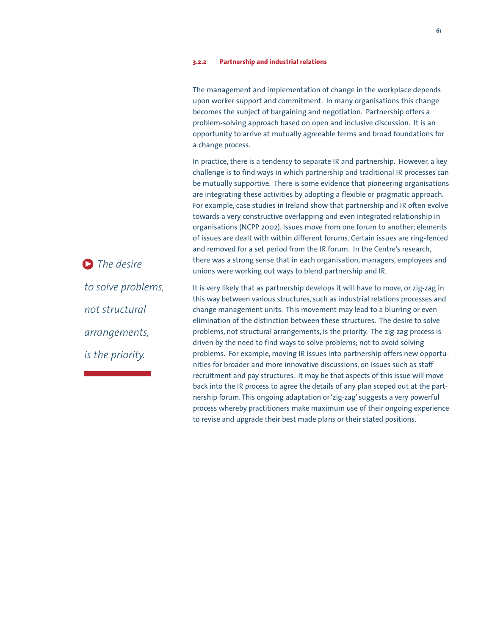#### **3.2.2 Partnership and industrial relations**

|                             | The management and implementation of change in the workplace depends<br>upon worker support and commitment. In many organisations this change<br>becomes the subject of bargaining and negotiation. Partnership offers a<br>problem-solving approach based on open and inclusive discussion. It is an<br>opportunity to arrive at mutually agreeable terms and broad foundations for<br>a change process.                                                                                                                                                                                                                                                                                                                                                                                                                                                                                        |
|-----------------------------|--------------------------------------------------------------------------------------------------------------------------------------------------------------------------------------------------------------------------------------------------------------------------------------------------------------------------------------------------------------------------------------------------------------------------------------------------------------------------------------------------------------------------------------------------------------------------------------------------------------------------------------------------------------------------------------------------------------------------------------------------------------------------------------------------------------------------------------------------------------------------------------------------|
| $\triangleright$ The desire | In practice, there is a tendency to separate IR and partnership. However, a key<br>challenge is to find ways in which partnership and traditional IR processes can<br>be mutually supportive. There is some evidence that pioneering organisations<br>are integrating these activities by adopting a flexible or pragmatic approach.<br>For example, case studies in Ireland show that partnership and IR often evolve<br>towards a very constructive overlapping and even integrated relationship in<br>organisations (NCPP 2002). Issues move from one forum to another; elements<br>of issues are dealt with within different forums. Certain issues are ring-fenced<br>and removed for a set period from the IR forum. In the Centre's research,<br>there was a strong sense that in each organisation, managers, employees and<br>unions were working out ways to blend partnership and IR. |
| to solve problems,          | It is very likely that as partnership develops it will have to move, or zig-zag in                                                                                                                                                                                                                                                                                                                                                                                                                                                                                                                                                                                                                                                                                                                                                                                                               |
|                             | this way between various structures, such as industrial relations processes and                                                                                                                                                                                                                                                                                                                                                                                                                                                                                                                                                                                                                                                                                                                                                                                                                  |
| not structural              | change management units. This movement may lead to a blurring or even<br>elimination of the distinction between these structures. The desire to solve                                                                                                                                                                                                                                                                                                                                                                                                                                                                                                                                                                                                                                                                                                                                            |
| arrangements,               | problems, not structural arrangements, is the priority. The zig-zag process is<br>driven by the need to find ways to solve problems; not to avoid solving                                                                                                                                                                                                                                                                                                                                                                                                                                                                                                                                                                                                                                                                                                                                        |
| is the priority.            | problems. For example, moving IR issues into partnership offers new opportu-<br>nities for broader and more innovative discussions, on issues such as staff                                                                                                                                                                                                                                                                                                                                                                                                                                                                                                                                                                                                                                                                                                                                      |
|                             | برز القراري والمستقل والباركين ويلويه ومستواط والمستقل والمستحين والمستحين والمستور والمستقل والمستحين والمستقل والمستحين                                                                                                                                                                                                                                                                                                                                                                                                                                                                                                                                                                                                                                                                                                                                                                        |

recruitment and pay structures. It may be that aspects of this issue will move back into the IR process to agree the details of any plan scoped out at the partnership forum. This ongoing adaptation or 'zig-zag' suggests a very powerful process whereby practitioners make maximum use of their ongoing experience to revise and upgrade their best made plans or their stated positions.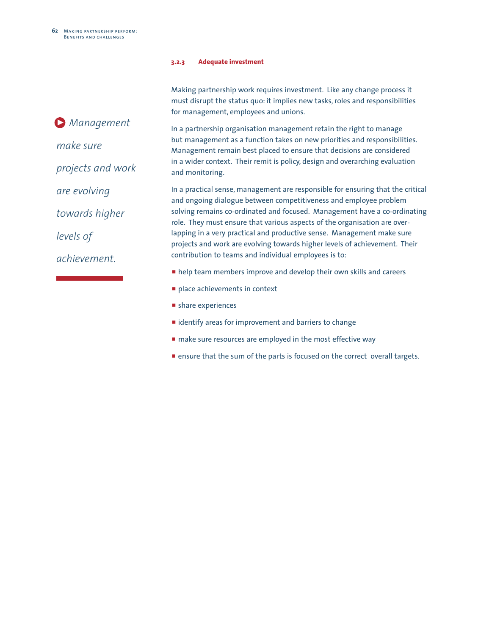#### **3.2.3 Adequate investment**

Making partnership work requires investment. Like any change process it must disrupt the status quo: it implies new tasks, roles and responsibilities for management, employees and unions.

In a partnership organisation management retain the right to manage but management as a function takes on new priorities and responsibilities. Management remain best placed to ensure that decisions are considered in a wider context. Their remit is policy, design and overarching evaluation and monitoring.

In a practical sense, management are responsible for ensuring that the critical and ongoing dialogue between competitiveness and employee problem solving remains co-ordinated and focused. Management have a co-ordinating role. They must ensure that various aspects of the organisation are overlapping in a very practical and productive sense. Management make sure projects and work are evolving towards higher levels of achievement. Their contribution to teams and individual employees is to:

- **n** help team members improve and develop their own skills and careers
- place achievements in context
- $\blacksquare$  share experiences
- $\blacksquare$  identify areas for improvement and barriers to change
- $\blacksquare$  make sure resources are employed in the most effective way
- **Exercise 1** ensure that the sum of the parts is focused on the correct overall targets.

*Management* 3*make sure projects and work are evolving towards higher levels of achievement.*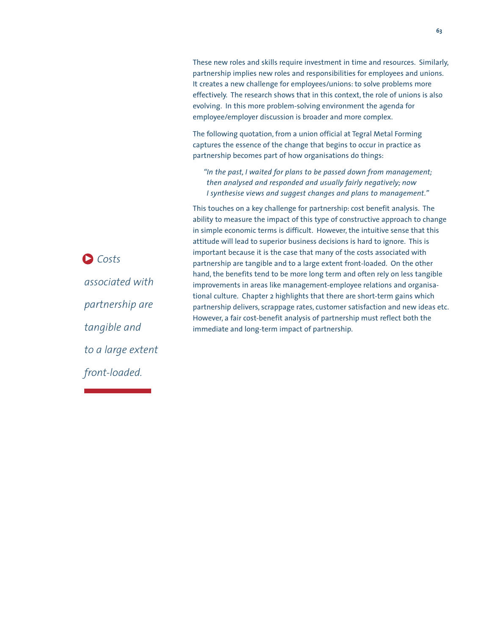These new roles and skills require investment in time and resources. Similarly, partnership implies new roles and responsibilities for employees and unions. It creates a new challenge for employees/unions: to solve problems more effectively. The research shows that in this context, the role of unions is also evolving. In this more problem-solving environment the agenda for employee/employer discussion is broader and more complex.

The following quotation, from a union official at Tegral Metal Forming captures the essence of the change that begins to occur in practice as partnership becomes part of how organisations do things:

*"In the past, I waited for plans to be passed down from management; then analysed and responded and usually fairly negatively; now I synthesise views and suggest changes and plans to management."*

This touches on a key challenge for partnership: cost benefit analysis. The ability to measure the impact of this type of constructive approach to change in simple economic terms is difficult. However, the intuitive sense that this attitude will lead to superior business decisions is hard to ignore. This is important because it is the case that many of the costs associated with partnership are tangible and to a large extent front-loaded. On the other hand, the benefits tend to be more long term and often rely on less tangible improvements in areas like management-employee relations and organisational culture. Chapter 2 highlights that there are short-term gains which partnership delivers, scrappage rates, customer satisfaction and new ideas etc. However, a fair cost-benefit analysis of partnership must reflect both the immediate and long-term impact of partnership.

*Costs* 3*associated with partnership are tangible and to a large extent front-loaded.*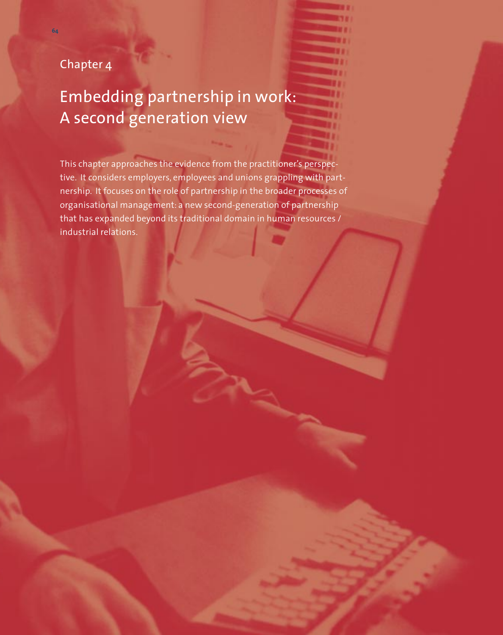## Chapter 4

**64**

# Embedding partnership in work: A second generation view

This chapter approaches the evidence from the practitioner's perspective. It considers employers, employees and unions grappling with partnership. It focuses on the role of partnership in the broader processes of organisational management: a new second-generation of partnership that has expanded beyond its traditional domain in human resources / industrial relations.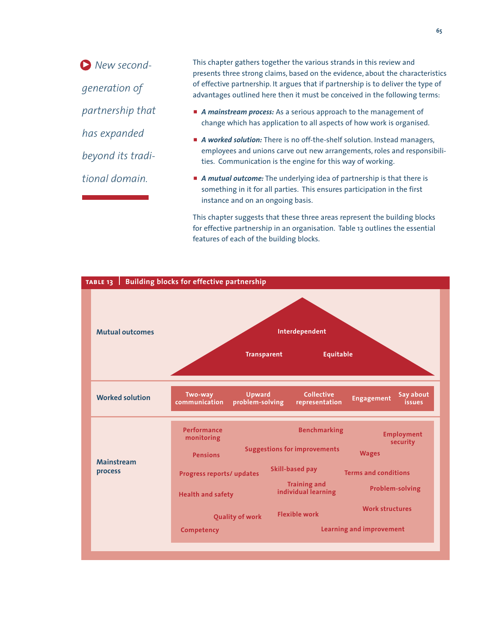*New second-*3*generation of partnership that has expanded beyond its traditional domain.*

This chapter gathers together the various strands in this review and presents three strong claims, based on the evidence, about the characteristics of effective partnership. It argues that if partnership is to deliver the type of advantages outlined here then it must be conceived in the following terms:

- **A mainstream process:** As a serious approach to the management of change which has application to all aspects of how work is organised.
- **A** worked solution: There is no off-the-shelf solution. Instead managers, employees and unions carve out new arrangements, roles and responsibilities. Communication is the engine for this way of working.
- **A mutual outcome:** The underlying idea of partnership is that there is something in it for all parties. This ensures participation in the first instance and on an ongoing basis.

This chapter suggests that these three areas represent the building blocks for effective partnership in an organisation. Table 13 outlines the essential features of each of the building blocks.

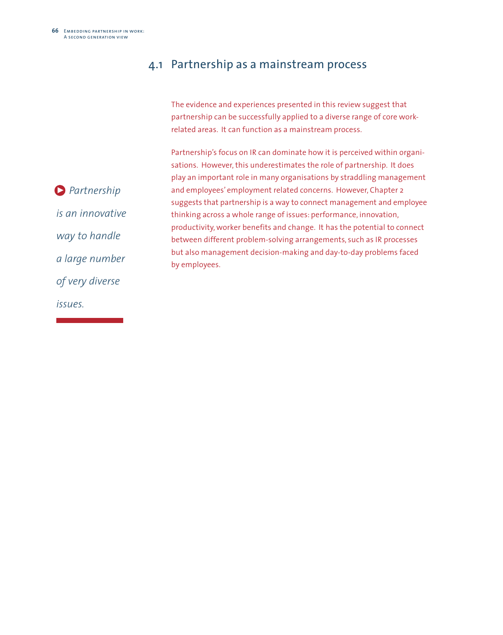### 4.1 Partnership as a mainstream process

The evidence and experiences presented in this review suggest that partnership can be successfully applied to a diverse range of core workrelated areas. It can function as a mainstream process.

Partnership's focus on IR can dominate how it is perceived within organisations. However, this underestimates the role of partnership. It does play an important role in many organisations by straddling management and employees' employment related concerns. However, Chapter 2 suggests that partnership is a way to connect management and employee thinking across a whole range of issues: performance, innovation, productivity, worker benefits and change. It has the potential to connect between different problem-solving arrangements, such as IR processes but also management decision-making and day-to-day problems faced by employees.

*Partnership*  3*is an innovative way to handle a large number of very diverse issues.*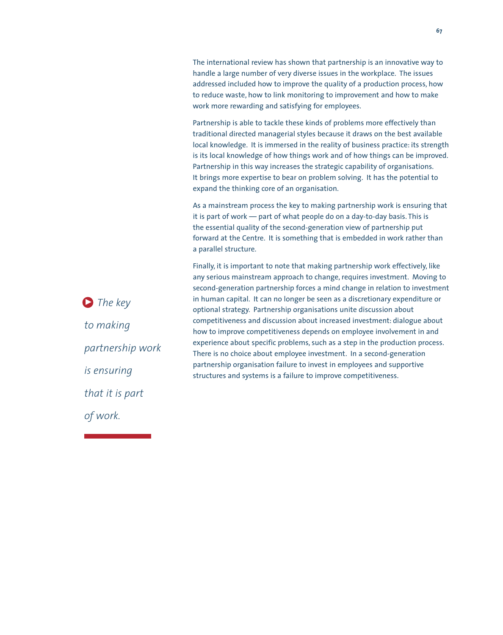The international review has shown that partnership is an innovative way to handle a large number of very diverse issues in the workplace. The issues addressed included how to improve the quality of a production process, how to reduce waste, how to link monitoring to improvement and how to make work more rewarding and satisfying for employees.

Partnership is able to tackle these kinds of problems more effectively than traditional directed managerial styles because it draws on the best available local knowledge. It is immersed in the reality of business practice: its strength is its local knowledge of how things work and of how things can be improved. Partnership in this way increases the strategic capability of organisations. It brings more expertise to bear on problem solving. It has the potential to expand the thinking core of an organisation.

As a mainstream process the key to making partnership work is ensuring that it is part of work — part of what people do on a day-to-day basis. This is the essential quality of the second-generation view of partnership put forward at the Centre. It is something that is embedded in work rather than a parallel structure.

Finally, it is important to note that making partnership work effectively, like any serious mainstream approach to change, requires investment. Moving to second-generation partnership forces a mind change in relation to investment in human capital. It can no longer be seen as a discretionary expenditure or optional strategy. Partnership organisations unite discussion about competitiveness and discussion about increased investment: dialogue about how to improve competitiveness depends on employee involvement in and experience about specific problems, such as a step in the production process. There is no choice about employee investment. In a second-generation partnership organisation failure to invest in employees and supportive structures and systems is a failure to improve competitiveness.

**3** The key *to making partnership work is ensuring that it is part of work.*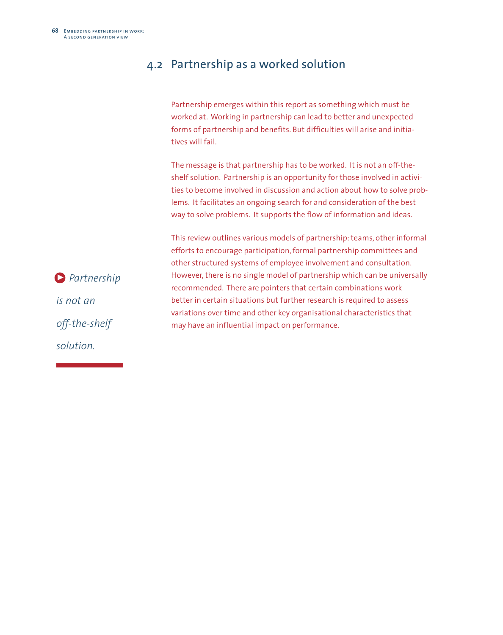### 4.2 Partnership as a worked solution

Partnership emerges within this report as something which must be worked at. Working in partnership can lead to better and unexpected forms of partnership and benefits. But difficulties will arise and initiatives will fail.

The message is that partnership has to be worked. It is not an off-theshelf solution. Partnership is an opportunity for those involved in activities to become involved in discussion and action about how to solve problems. It facilitates an ongoing search for and consideration of the best way to solve problems. It supports the flow of information and ideas.

This review outlines various models of partnership:teams, other informal efforts to encourage participation, formal partnership committees and other structured systems of employee involvement and consultation. However, there is no single model of partnership which can be universally recommended. There are pointers that certain combinations work better in certain situations but further research is required to assess variations over time and other key organisational characteristics that may have an influential impact on performance.

*Partnership*  3 *is not an off-the-shelf solution.*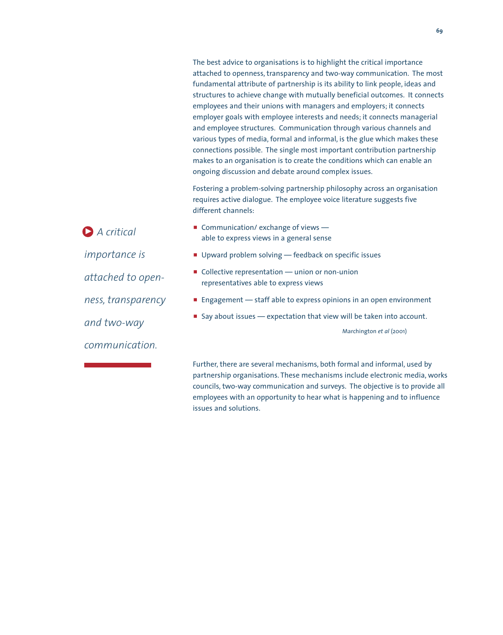The best advice to organisations is to highlight the critical importance attached to openness, transparency and two-way communication. The most fundamental attribute of partnership is its ability to link people, ideas and structures to achieve change with mutually beneficial outcomes. It connects employees and their unions with managers and employers; it connects employer goals with employee interests and needs; it connects managerial and employee structures. Communication through various channels and various types of media, formal and informal, is the glue which makes these connections possible. The single most important contribution partnership makes to an organisation is to create the conditions which can enable an ongoing discussion and debate around complex issues. Fostering a problem-solving partnership philosophy across an organisation requires active dialogue. The employee voice literature suggests five different channels: **Communication/ exchange of views** able to express views in a general sense **• Upward problem solving — feedback on specific issues**  $\blacksquare$  Collective representation — union or non-union representatives able to express views **P** Engagement  $-$  staff able to express opinions in an open environment  $\blacksquare$  Say about issues — expectation that view will be taken into account. Marchington *et al* (2001) Further, there are several mechanisms, both formal and informal, used by partnership organisations. These mechanisms include electronic media, works *A critical*  3*importance is attached to openness, transparency and two-way communication.*

issues and solutions.

councils, two-way communication and surveys. The objective is to provide all employees with an opportunity to hear what is happening and to influence

**69**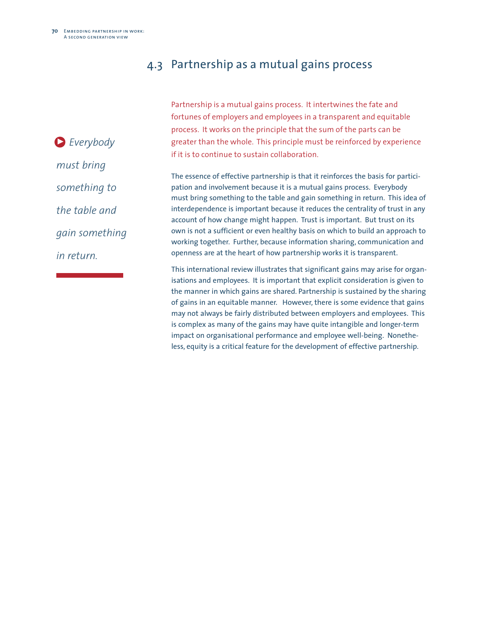### 4.3 Partnership as a mutual gains process

Partnership is a mutual gains process. It intertwines the fate and fortunes of employers and employees in a transparent and equitable process. It works on the principle that the sum of the parts can be greater than the whole. This principle must be reinforced by experience if it is to continue to sustain collaboration.

The essence of effective partnership is that it reinforces the basis for participation and involvement because it is a mutual gains process. Everybody must bring something to the table and gain something in return. This idea of interdependence is important because it reduces the centrality of trust in any account of how change might happen. Trust is important. But trust on its own is not a sufficient or even healthy basis on which to build an approach to working together. Further, because information sharing, communication and openness are at the heart of how partnership works it is transparent.

This international review illustrates that significant gains may arise for organisations and employees. It is important that explicit consideration is given to the manner in which gains are shared. Partnership is sustained by the sharing of gains in an equitable manner. However, there is some evidence that gains may not always be fairly distributed between employers and employees. This is complex as many of the gains may have quite intangible and longer-term impact on organisational performance and employee well-being. Nonetheless, equity is a critical feature for the development of effective partnership.

*Everybody*  3*must bring something to the table and gain something in return.*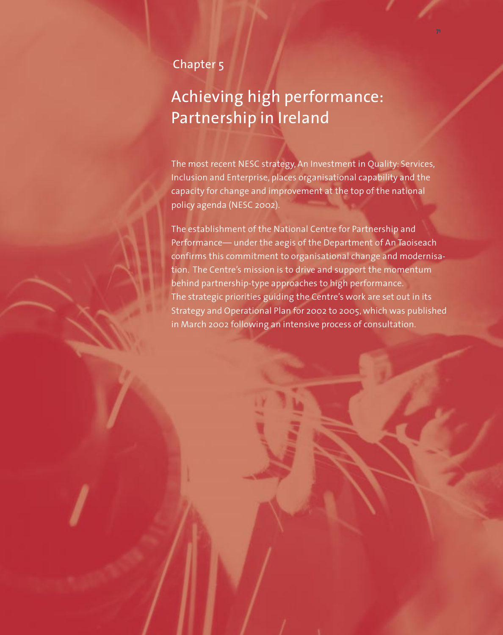## Chapter 5

# Achieving high performance: Partnership in Ireland

The most recent NESC strategy, An Investment in Quality: Services, Inclusion and Enterprise, places organisational capability and the capacity for change and improvement at the top of the national policy agenda (NESC 2002).

The establishment of the National Centre for Partnership and Performance— under the aegis of the Department of An Taoiseach confirms this commitment to organisational change and modernisation. The Centre's mission is to drive and support the momentum behind partnership-type approaches to high performance. The strategic priorities guiding the Centre's work are set out in its Strategy and Operational Plan for 2002 to 2005, which was published in March 2002 following an intensive process of consultation.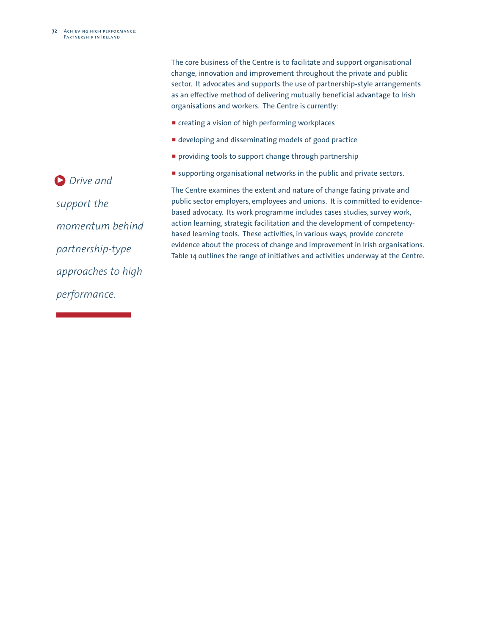The core business of the Centre is to facilitate and support organisational change, innovation and improvement throughout the private and public sector. It advocates and supports the use of partnership-style arrangements as an effective method of delivering mutually beneficial advantage to Irish organisations and workers. The Centre is currently:

- $\blacksquare$  creating a vision of high performing workplaces
- $\blacksquare$  developing and disseminating models of good practice
- **P** providing tools to support change through partnership
- **E** supporting organisational networks in the public and private sectors.

**Drive and** *support the momentum behind partnership-type approaches to high performance.*

The Centre examines the extent and nature of change facing private and public sector employers, employees and unions. It is committed to evidencebased advocacy. Its work programme includes cases studies, survey work, action learning, strategic facilitation and the development of competencybased learning tools. These activities, in various ways, provide concrete evidence about the process of change and improvement in Irish organisations. Table 14 outlines the range of initiatives and activities underway at the Centre.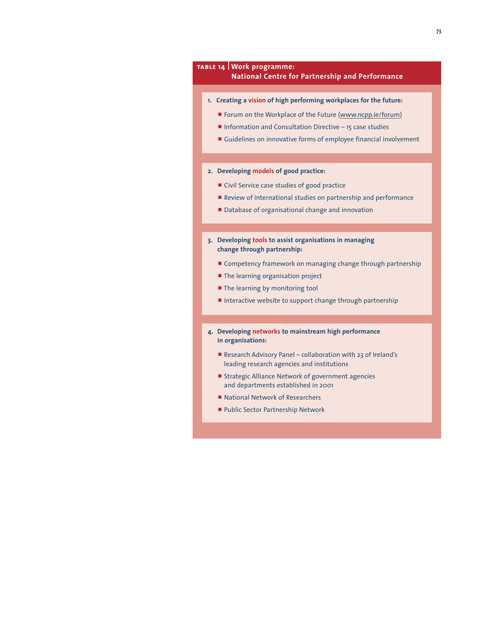

**Public Sector Partnership Network**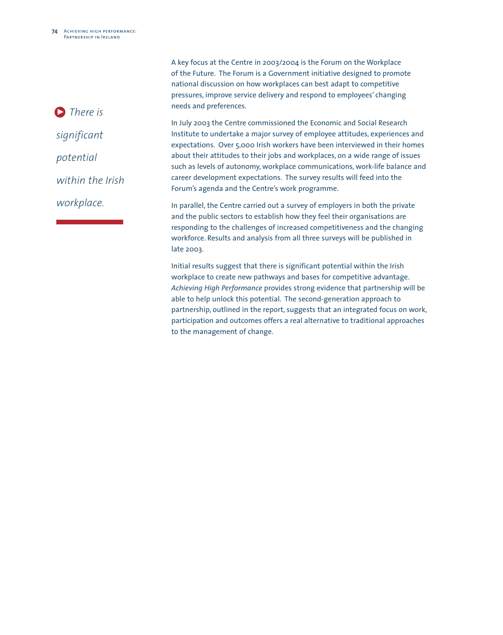A key focus at the Centre in 2003/2004 is the Forum on the Workplace of the Future. The Forum is a Government initiative designed to promote national discussion on how workplaces can best adapt to competitive pressures, improve service delivery and respond to employees' changing needs and preferences.

In July 2003 the Centre commissioned the Economic and Social Research Institute to undertake a major survey of employee attitudes, experiences and expectations. Over 5,000 Irish workers have been interviewed in their homes about their attitudes to their jobs and workplaces, on a wide range of issues such as levels of autonomy, workplace communications, work-life balance and career development expectations. The survey results will feed into the Forum's agenda and the Centre's work programme.

In parallel, the Centre carried out a survey of employers in both the private and the public sectors to establish how they feel their organisations are responding to the challenges of increased competitiveness and the changing workforce. Results and analysis from all three surveys will be published in late 2003.

Initial results suggest that there is significant potential within the Irish workplace to create new pathways and bases for competitive advantage. *Achieving High Performance* provides strong evidence that partnership will be able to help unlock this potential. The second-generation approach to partnership, outlined in the report, suggests that an integrated focus on work, participation and outcomes offers a real alternative to traditional approaches to the management of change.

*There is* 3*significant potential within the Irish workplace.*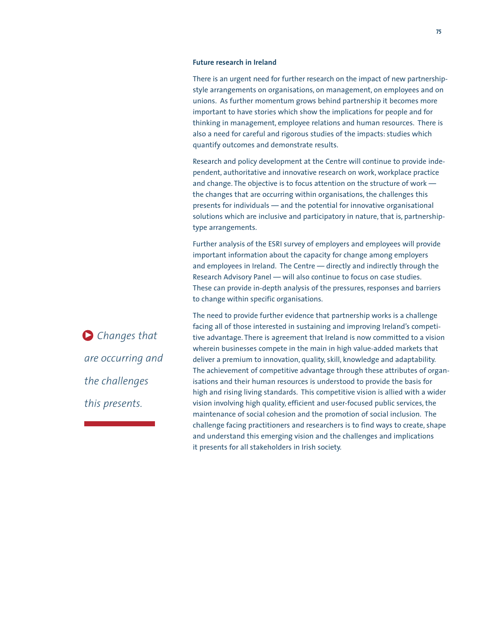#### **Future research in Ireland**

There is an urgent need for further research on the impact of new partnershipstyle arrangements on organisations, on management, on employees and on unions. As further momentum grows behind partnership it becomes more important to have stories which show the implications for people and for thinking in management, employee relations and human resources. There is also a need for careful and rigorous studies of the impacts: studies which quantify outcomes and demonstrate results.

Research and policy development at the Centre will continue to provide independent, authoritative and innovative research on work, workplace practice and change. The objective is to focus attention on the structure of work the changes that are occurring within organisations, the challenges this presents for individuals — and the potential for innovative organisational solutions which are inclusive and participatory in nature, that is, partnershiptype arrangements.

Further analysis of the ESRI survey of employers and employees will provide important information about the capacity for change among employers and employees in Ireland. The Centre — directly and indirectly through the Research Advisory Panel — will also continue to focus on case studies. These can provide in-depth analysis of the pressures, responses and barriers to change within specific organisations.

*Changes that* 3 *are occurring and the challenges this presents.*

The need to provide further evidence that partnership works is a challenge facing all of those interested in sustaining and improving Ireland's competitive advantage. There is agreement that Ireland is now committed to a vision wherein businesses compete in the main in high value-added markets that deliver a premium to innovation, quality, skill, knowledge and adaptability. The achievement of competitive advantage through these attributes of organisations and their human resources is understood to provide the basis for high and rising living standards. This competitive vision is allied with a wider vision involving high quality, efficient and user-focused public services, the maintenance of social cohesion and the promotion of social inclusion. The challenge facing practitioners and researchers is to find ways to create, shape and understand this emerging vision and the challenges and implications it presents for all stakeholders in Irish society.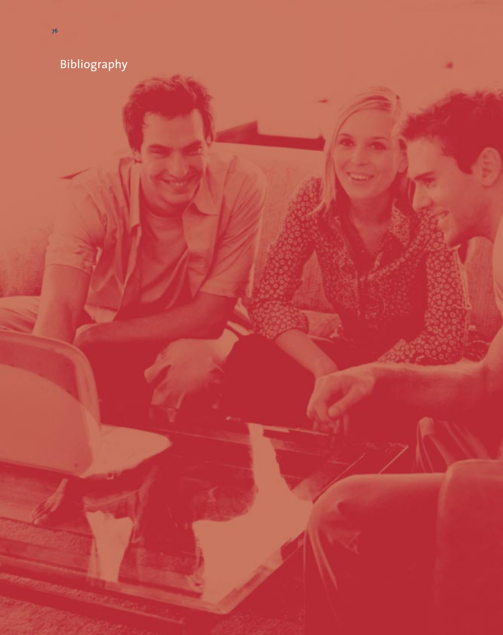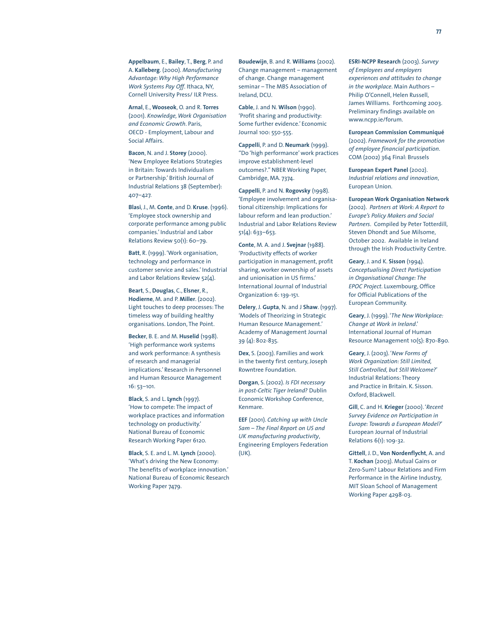**Appelbaum**, E., **Bailey**, T., **Berg**, P. and A. **Kalleberg**. (2000). *Manufacturing Advantage:Why High Performance Work Systems Pay Off*. Ithaca, NY, Cornell University Press/ ILR Press.

**Arnal**, E., **Wooseok**, O. and R. **Torres** (2001). *Knowledge,Work Organisation and Economic Growth*. Paris, OECD - Employment, Labour and Social Affairs.

**Bacon**, N. and J. **Storey** (2000). 'New Employee Relations Strategies in Britain: Towards Individualism or Partnership.' British Journal of Industrial Relations 38 (September): 407–427.

**Blasi**, J., M. **Conte**, and D. **Kruse**. (1996). 'Employee stock ownership and corporate performance among public companies.' Industrial and Labor Relations Review 50(1): 60–79.

**Batt**, R. (1999). 'Work organisation, technology and performance in customer service and sales.' Industrial and Labor Relations Review 52(4).

**Beart**, S., **Douglas**, C., **Elsner**, R., **Hodierne**, M. and P. **Miller**. (2002). Light touches to deep processes: The timeless way of building healthy organisations. London, The Point.

**Becker**, B. E. and M. **Huselid** (1998). 'High performance work systems and work performance: A synthesis of research and managerial implications.' Research in Personnel and Human Resource Management 16: 53–101.

**Black**, S. and L. **Lynch** (1997). 'How to compete: The impact of workplace practices and information technology on productivity.' National Bureau of Economic Research Working Paper 6120.

**Black**, S. E. and L. M. **Lynch** (2000). 'What's driving the New Economy: The benefits of workplace innovation.' National Bureau of Economic Research Working Paper 7479.

**Boudewijn**, B. and R. **Williams** (2002). Change management – management of change. Change management seminar – The MBS Association of Ireland, DCU.

**Cable**, J. and N. **Wilson** (1990). 'Profit sharing and productivity: Some further evidence.' Economic Journal 100: 550-555.

**Cappelli**, P. and D. **Neumark** (1999). "Do 'high performance' work practices improve establishment-level outcomes?." NBER Working Paper, Cambridge, MA. 7374.

**Cappelli**, P. and N. **Rogovsky** (1998). 'Employee involvement and organisational citizenship: Implications for labour reform and lean production.' Industrial and Labor Relations Review 51(4): 633–653.

**Conte**, M. A. and J. **Svejnar** (1988). 'Productivity effects of worker participation in management, profit sharing, worker ownership of assets and unionisation in US firms.' International Journal of Industrial Organization 6: 139-151.

**Delery**, J. **Gupta**, N. and J **Shaw**. (1997). 'Models of Theorizing in Strategic Human Resource Management.' Academy of Management Journal 39 (4): 802-835.

**Dex**, S. (2003). Families and work in the twenty first century, Joseph Rowntree Foundation.

**Dorgan**, S. (2002). *Is FDI necessary in post-Celtic Tiger Ireland?* Dublin Economic Workshop Conference, Kenmare.

**EEF** (2001). *Catching up with Uncle Sam – The Final Report on US and UK manufacturing productivity*, Engineering Employers Federation (UK).

**ESRI-NCPP Research** (2003). *Survey of Employees and employers experiences and attitudes to change in the workplace*. Main Authors – Philip O'Connell, Helen Russell, James Williams. Forthcoming 2003. Preliminary findings available on www.ncpp.ie/forum.

**European Commission Communiqué** (2002). *Framework for the promotion of employee financial participation*. COM (2002) 364 Final: Brussels

**European Expert Panel** (2002). *Industrial relations and innovation*, European Union.

**European Work Organisation Network** (2002). *Partners at Work: A Report to Europe's Policy Makers and Social Partners*. Compiled by Peter Totterdill, Steven Dhondt and Sue Milsome, October 2002. Available in Ireland through the Irish Productivity Centre.

**Geary**, J. and K. **Sisson** (1994). *Conceptualising Direct Participation in Organisational Change: The EPOC Project*. Luxembourg, Office for Official Publications of the European Community.

**Geary**, J. (1999). '*The New Workplace: Change at Work in Ireland*.' International Journal of Human Resource Management 10(5): 870-890.

**Geary**, J. (2003). '*New Forms of Work Organization: Still Limited, Still Controlled, but Still Welcome?*' Industrial Relations: Theory and Practice in Britain. K. Sisson. Oxford, Blackwell.

**Gill**, C. and H. **Krieger** (2000). '*Recent Survey Evidence on Participation in Europe: Towards a European Model?*' European Journal of Industrial Relations 6(1): 109-32.

**Gittell**, J. D., **Von Nordenflycht**, A. and T. **Kochan** (2003). Mutual Gains or Zero-Sum? Labour Relations and Firm Performance in the Airline Industry, MIT Sloan School of Management Working Paper 4298-03.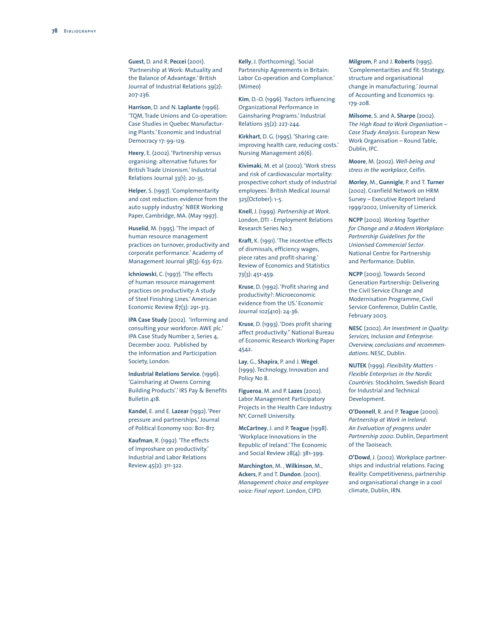**Guest**, D. and R. **Peccei** (2001). 'Partnership at Work: Mutuality and the Balance of Advantage.' British Journal of Industrial Relations 39(2): 207-236.

**Harrison**, D. and N. **Laplante** (1996). 'TQM, Trade Unions and Co-operation: Case Studies in Quebec Manufacturing Plants.' Economic and Industrial Democracy 17: 99-129.

**Heery**, E. (2002). 'Partnership versus organising: alternative futures for British Trade Unionism.' Industrial Relations Journal 33(1): 20-35.

**Helper**, S. (1997). 'Complementarity and cost reduction: evidence from the auto supply industry.' NBER Working Paper, Cambridge, MA. (May 1997).

**Huselid**, M. (1995). 'The impact of human resource management practices on turnover, productivity and corporate performance.' Academy of Management Journal 38(3): 635-672.

**Ichniowski**, C. (1997). 'The effects of human resource management practices on productivity: A study of Steel Finishing Lines.' American Economic Review 87(3): 291-313.

**IPA Case Study** (2002). 'Informing and consulting your workforce: AWE plc.' IPA Case Study Number 2, Series 4, December 2002. Published by the Information and Participation Society, London.

**Industrial Relations Service**. (1996). 'Gainsharing at Owens Corning Building Products'.' IRS Pay & Benefits Bulletin 418.

**Kandel**, E. and E. **Lazear** (1992). 'Peer pressure and partnerships.' Journal of Political Economy 100: 801-817.

**Kaufman**, R. (1992). 'The effects of Improshare on productivity.' Industrial and Labor Relations Review 45(2): 311-322.

**Kelly**, J. (forthcoming). 'Social Partnership Agreements in Britain: Labor Co-operation and Compliance.' (Mimeo)

**Kim**, D.-O. (1996). 'Factors Influencing Organizational Performance in Gainsharing Programs.' Industrial Relations 35(2): 227-244.

**Kirkhart**, D. G. (1995). 'Sharing care: improving health care, reducing costs.' Nursing Management 26(6).

**Kivimaki**, M. et al (2002). 'Work stress and risk of cardiovascular mortality: prospective cohort study of industrial employees.' British Medical Journal 325(October): 1-5.

**Knell**, J. (1999). *Partnership at Work*. London, DTI - Employment Relations Research Series No.7.

**Kraft**, K. (1991). 'The incentive effects of dismissals, efficiency wages, piece rates and profit-sharing.' Review of Economics and Statistics 73(3): 451-459.

**Kruse**, D. (1992). 'Profit sharing and productivity?: Microeconomic evidence from the US.' Economic Journal 102(410): 24-36.

**Kruse**, D. (1993). 'Does profit sharing affect productivity." National Bureau of Economic Research Working Paper 4542.

**Lay**, G., **Shapira**, P. and J. **Wegel**. (1999). Technology, Innovation and Policy No 8.

**Figueroa**, M. and P. **Lazes** (2002). Labor Management Participatory Projects in the Health Care Industry. NY, Cornell University.

**McCartney**, J. and P. **Teague** (1998). 'Workplace Innovations in the Republic of Ireland.' The Economic and Social Review 28(4): 381-399.

**Marchington**, M. , **Wilkinson**, M., **Ackers**, P. and T. **Dundon**. (2001). *Management choice and employee voice: Final report*. London, CIPD.

**Milgrom**, P. and J. **Roberts** (1995). 'Complementarities and fit: Strategy, structure and organisational change in manufacturing.' Journal of Accounting and Economics 19: 179-208.

**Milsome**, S. and A. **Sharpe** (2002). *The High Road to Work Organisation – Case Study Analysis*. European New Work Organisation – Round Table, Dublin, IPC.

**Moore**, M. (2002). *Well-being and stress in the workplace*, Ceifin.

**Morley**, M., **Gunnigle**, P. and T. **Turner** (2002). Cranfield Network on HRM Survey – Executive Report Ireland 1999/2002, University of Limerick.

**NCPP** (2002). *Working Together for Change and a Modern Workplace: Partnership Guidelines for the Unionised Commercial Sector*. National Centre for Partnership and Performance: Dublin.

**NCPP** (2003). Towards Second Generation Partnership: Delivering the Civil Service Change and Modernisation Programme, Civil Service Conference, Dublin Castle, February 2003.

**NESC** (2002). *An Investment in Quality: Services, Inclusion and Enterprise: Overview, conclusions and recommendations*. NESC, Dublin.

**NUTEK** (1999). *Flexibility Matters - Flexible Enterprises in the Nordic Countries*. Stockholm, Swedish Board for Industrial and Technical Development.

**O'Donnell**, R. and P. **Teague** (2000). *Partnership at Work in Ireland: An Evaluation of progress under Partnership 2000*. Dublin, Department of the Taoiseach.

**O'Dowd**, J. (2002).Workplace partnerships and industrial relations. Facing Reality: Competitiveness, partnership and organisational change in a cool climate, Dublin, IRN.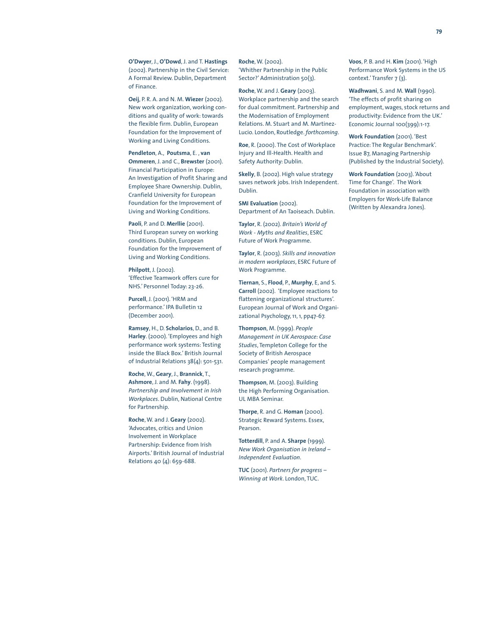**O'Dwyer**, J., **O'Dowd**, J. and T. **Hastings** (2002). Partnership in the Civil Service: A Formal Review. Dublin, Department of Finance.

**Oeij**, P. R. A. and N. M. **Wiezer** (2002). New work organization, working conditions and quality of work: towards the flexible firm. Dublin, European Foundation for the Improvement of Working and Living Conditions.

**Pendleton**, A., **Poutsma**, E. , **van Ommeren**, J. and C., **Brewster** (2001). Financial Participation in Europe: An Investigation of Profit Sharing and Employee Share Ownership. Dublin, Cranfield University for European Foundation for the Improvement of Living and Working Conditions.

#### Paoli, P. and D. Merllie (2001).

Third European survey on working conditions. Dublin, European Foundation for the Improvement of Living and Working Conditions.

**Philpott**, J. (2002). 'Effective Teamwork offers cure for NHS.' Personnel Today: 23-26.

**Purcell**, J. (2001). 'HRM and performance.' IPA Bulletin 12 (December 2001).

**Ramsey**, H., D. **Scholarios**, D., and B. **Harley**. (2000). 'Employees and high performance work systems: Testing inside the Black Box.' British Journal of Industrial Relations 38(4): 501-531.

**Roche**,W., **Geary**, J., **Brannick**, T., **Ashmore**, J. and M. **Fahy**. (1998). *Partnership and Involvement in Irish Workplaces*. Dublin, National Centre for Partnership.

**Roche**, W. and J. **Geary** (2002). 'Advocates, critics and Union Involvement in Workplace Partnership: Evidence from Irish Airports.' British Journal of Industrial Relations 40 (4): 659-688.

**Roche**, W. (2002). 'Whither Partnership in the Public Sector?' Administration 50(3).

**Roche**, W. and J. **Geary** (2003). Workplace partnership and the search for dual commitment. Partnership and the Modernisation of Employment Relations. M. Stuart and M. Martinez-Lucio. London, Routledge. *forthcoming*.

**Roe**, R. (2000). The Cost of Workplace Injury and Ill-Health. Health and Safety Authority: Dublin.

**Skelly**, B. (2002). High value strategy saves network jobs. Irish Independent. Dublin.

**SMI Evaluation** (2002). Department of An Taoiseach. Dublin.

**Taylor**, R. (2002). *Britain's World of Work - Myths and Realities*, ESRC Future of Work Programme.

**Taylor**, R. (2003). *Skills and innovation in modern workplaces*, ESRC Future of Work Programme.

**Tiernan**, S., **Flood**, P., **Murphy**, E, and S. **Carroll** (2002). 'Employee reactions to flattening organizational structures'. European Journal of Work and Organizational Psychology, 11, 1, pp47-67.

**Thompson**, M. (1999). *People Management in UK Aerospace: Case Studies*, Templeton College for the Society of British Aerospace Companies' people management research programme.

**Thompson**, M. (2003). Building the High Performing Organisation. UL MBA Seminar.

**Thorpe**, R. and G. **Homan** (2000). Strategic Reward Systems. Essex, Pearson.

**Totterdill**, P. and A. **Sharpe** (1999). *New Work Organisation in Ireland – Independent Evaluation*.

**TUC** (2001). *Partners for progress – Winning at Work*. London, TUC.

**Voos**, P. B. and H. **Kim** (2001). 'High Performance Work Systems in the US context.' Transfer 7 (3).

**Wadhwani**, S. and M. **Wall** (1990). 'The effects of profit sharing on employment, wages, stock returns and productivity: Evidence from the UK.' Economic Journal 100(399):1-17.

**Work Foundation** (2001). 'Best Practice: The Regular Benchmark'. Issue 87, Managing Partnership (Published by the Industrial Society).

**Work Foundation** (2003). 'About Time for Change'. The Work Foundation in association with Employers for Work-Life Balance (Written by Alexandra Jones).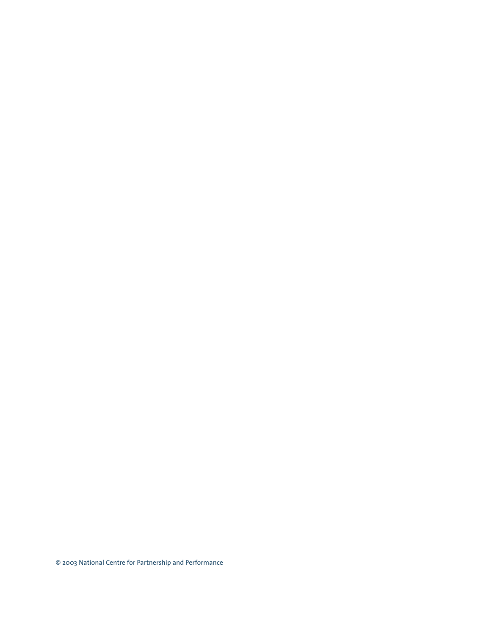© 2003 National Centre for Partnership and Performance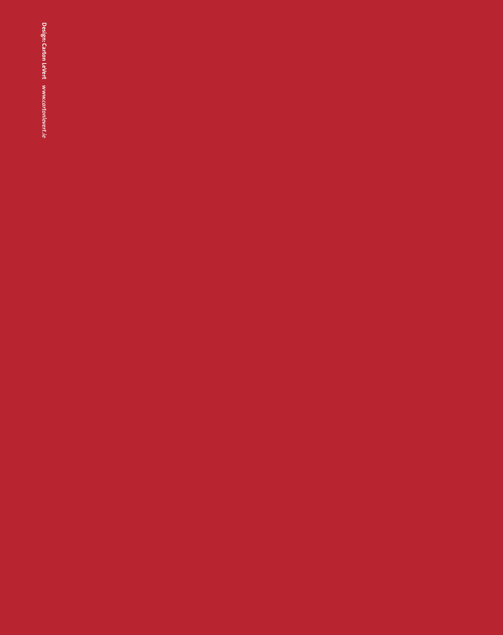Design: Carton LeVert www.cartonlevert.ie **Carton LeVert** *www.cartonlevert.ie*